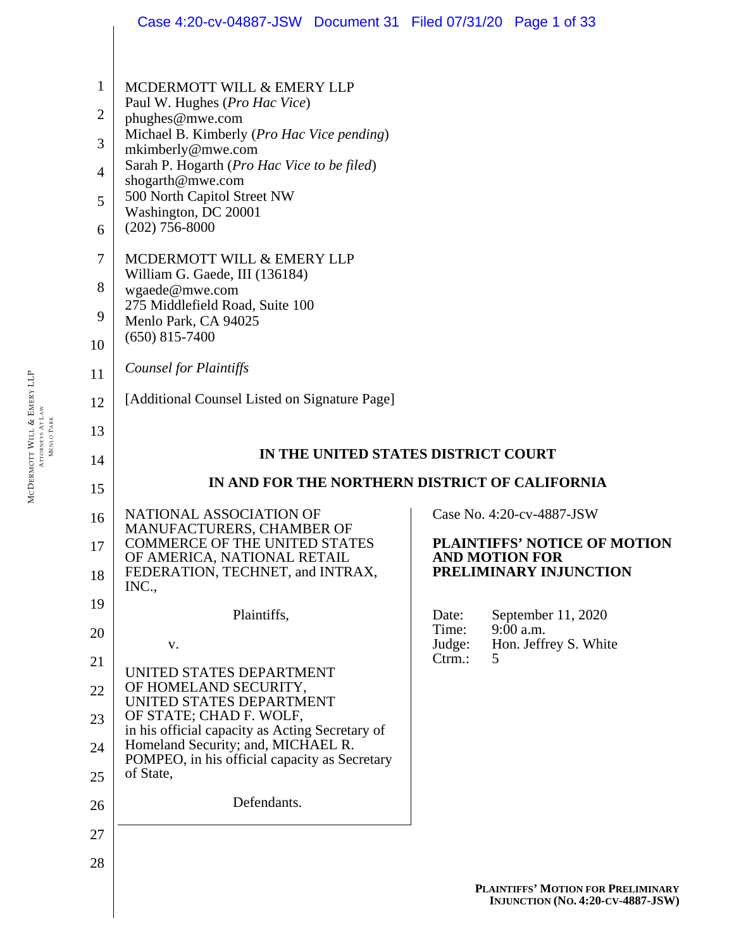|                | Case 4:20-cv-04887-JSW Document 31 Filed 07/31/20 Page 1 of 33                                                                         |                 |                                                 |
|----------------|----------------------------------------------------------------------------------------------------------------------------------------|-----------------|-------------------------------------------------|
|                |                                                                                                                                        |                 |                                                 |
| 1              | MCDERMOTT WILL & EMERY LLP                                                                                                             |                 |                                                 |
| $\mathbf{2}$   | Paul W. Hughes (Pro Hac Vice)<br>phughes@mwe.com                                                                                       |                 |                                                 |
| 3              | Michael B. Kimberly ( <i>Pro Hac Vice pending</i> )<br>mkimberly@mwe.com                                                               |                 |                                                 |
| $\overline{4}$ | Sarah P. Hogarth (Pro Hac Vice to be filed)<br>shogarth@mwe.com                                                                        |                 |                                                 |
| 5              | 500 North Capitol Street NW<br>Washington, DC 20001                                                                                    |                 |                                                 |
| 6              | $(202)$ 756-8000                                                                                                                       |                 |                                                 |
| $\overline{7}$ | MCDERMOTT WILL & EMERY LLP<br>William G. Gaede, III (136184)                                                                           |                 |                                                 |
| 8              | wgaede@mwe.com<br>275 Middlefield Road, Suite 100                                                                                      |                 |                                                 |
| 9              | Menlo Park, CA 94025<br>$(650)$ 815-7400                                                                                               |                 |                                                 |
| 10             |                                                                                                                                        |                 |                                                 |
| 11             | <b>Counsel for Plaintiffs</b>                                                                                                          |                 |                                                 |
| 12             | [Additional Counsel Listed on Signature Page]                                                                                          |                 |                                                 |
| 13             |                                                                                                                                        |                 |                                                 |
|                |                                                                                                                                        |                 |                                                 |
| 14             | IN THE UNITED STATES DISTRICT COURT                                                                                                    |                 |                                                 |
| 15             | IN AND FOR THE NORTHERN DISTRICT OF CALIFORNIA                                                                                         |                 |                                                 |
| 16             | NATIONAL ASSOCIATION OF                                                                                                                |                 | Case No. 4:20-cv-4887-JSW                       |
| 17             | MANUFACTURERS, CHAMBER OF<br><b>COMMERCE OF THE UNITED STATES</b>                                                                      |                 | <b>PLAINTIFFS' NOTICE OF MOTION</b>             |
| 18             | OF AMERICA, NATIONAL RETAIL<br>FEDERATION, TECHNET, and INTRAX,<br>INC.,                                                               |                 | <b>AND MOTION FOR</b><br>PRELIMINARY INJUNCTION |
| 19             | Plaintiffs,                                                                                                                            | Date:           | September 11, 2020                              |
| 20             | V.                                                                                                                                     | Time:<br>Judge: | $9:00$ a.m.<br>Hon. Jeffrey S. White            |
| 21             |                                                                                                                                        | Ctrm.:          | 5                                               |
| 22             | UNITED STATES DEPARTMENT<br>OF HOMELAND SECURITY,                                                                                      |                 |                                                 |
| 23             | UNITED STATES DEPARTMENT<br>OF STATE; CHAD F. WOLF,                                                                                    |                 |                                                 |
| 24             | in his official capacity as Acting Secretary of<br>Homeland Security; and, MICHAEL R.<br>POMPEO, in his official capacity as Secretary |                 |                                                 |
| 25             | of State,                                                                                                                              |                 |                                                 |
| 26             | Defendants.                                                                                                                            |                 |                                                 |
| 27             |                                                                                                                                        |                 |                                                 |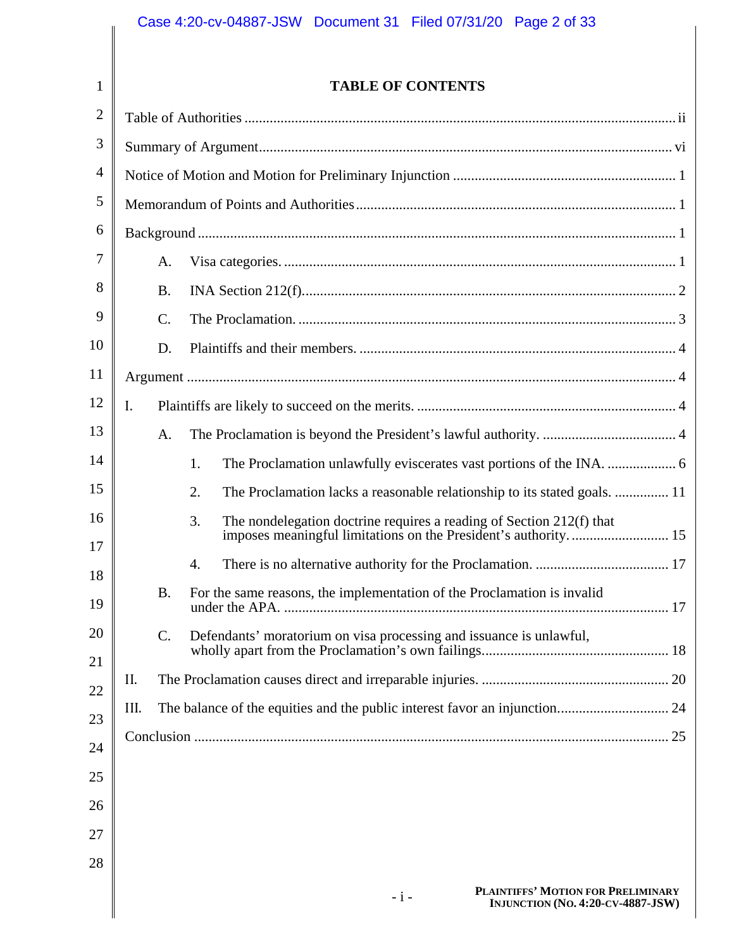1 2 3

## **TABLE OF CONTENTS**

| $\overline{2}$ |                |                                                                                 |  |  |
|----------------|----------------|---------------------------------------------------------------------------------|--|--|
| 3              |                |                                                                                 |  |  |
| 4              |                |                                                                                 |  |  |
| 5              |                |                                                                                 |  |  |
| 6              |                |                                                                                 |  |  |
| 7              | A.             |                                                                                 |  |  |
| 8              | <b>B.</b>      |                                                                                 |  |  |
| 9              | C.             |                                                                                 |  |  |
| 10             | D.             |                                                                                 |  |  |
| 11             |                |                                                                                 |  |  |
| 12             | $\mathbf{I}$ . |                                                                                 |  |  |
| 13             | A.             |                                                                                 |  |  |
| 14             |                | 1.                                                                              |  |  |
| 15             |                | The Proclamation lacks a reasonable relationship to its stated goals.  11<br>2. |  |  |
| 16<br>17       |                | The nondelegation doctrine requires a reading of Section 212(f) that<br>3.      |  |  |
| 18             |                | 4.                                                                              |  |  |
| 19             | <b>B.</b>      | For the same reasons, the implementation of the Proclamation is invalid         |  |  |
| 20<br>21       | C.             | Defendants' moratorium on visa processing and issuance is unlawful,             |  |  |
| 22             | II.            |                                                                                 |  |  |
| 23             | III.           |                                                                                 |  |  |
| 24             |                |                                                                                 |  |  |
| 25             |                |                                                                                 |  |  |
| 26             |                |                                                                                 |  |  |
| 27             |                |                                                                                 |  |  |
| 28             |                |                                                                                 |  |  |
|                |                |                                                                                 |  |  |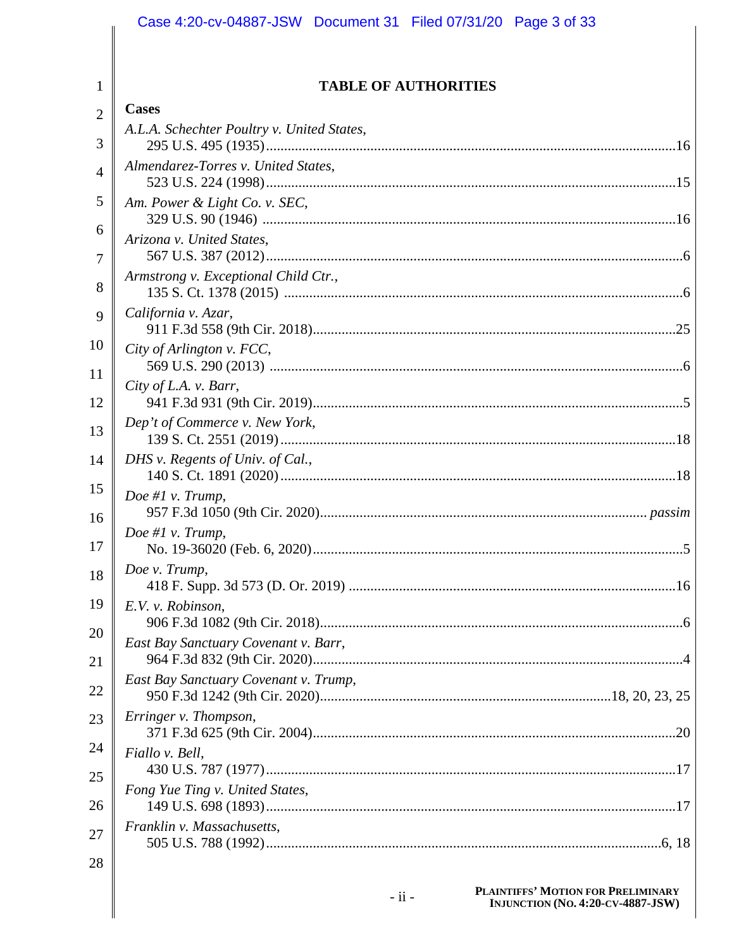|                     | Case 4:20-cv-04887-JSW Document 31 Filed 07/31/20 Page 3 of 33 |
|---------------------|----------------------------------------------------------------|
| 1                   | <b>TABLE OF AUTHORITIES</b>                                    |
|                     | <b>Cases</b>                                                   |
| $\overline{2}$<br>3 | A.L.A. Schechter Poultry v. United States,                     |
| $\overline{4}$      | Almendarez-Torres v. United States,                            |
| 5                   | Am. Power & Light Co. v. SEC,                                  |
| 6<br>7              | Arizona v. United States,                                      |
| 8                   | Armstrong v. Exceptional Child Ctr.,                           |
| 9                   | California v. Azar,                                            |
| 10                  | City of Arlington v. FCC,                                      |
| 11<br>12            | City of L.A. v. Barr,                                          |
| 13                  | Dep't of Commerce v. New York,                                 |
| 14                  | DHS v. Regents of Univ. of Cal.,                               |
| 15<br>16            | Doe #1 $v$ . Trump,                                            |
| 17                  | Doe #1 $v$ . Trump,                                            |
| 18                  | Doe v. Trump,                                                  |
| 19                  | E.V. v. Robinson,                                              |
| 20                  | East Bay Sanctuary Covenant v. Barr,                           |
| 21                  |                                                                |
| 22                  | East Bay Sanctuary Covenant v. Trump,                          |
| 23                  | Erringer v. Thompson,                                          |
| 24<br>25            | Fiallo v. Bell,                                                |
| 26                  | Fong Yue Ting v. United States,                                |
| 27                  | Franklin v. Massachusetts,                                     |
| 28                  |                                                                |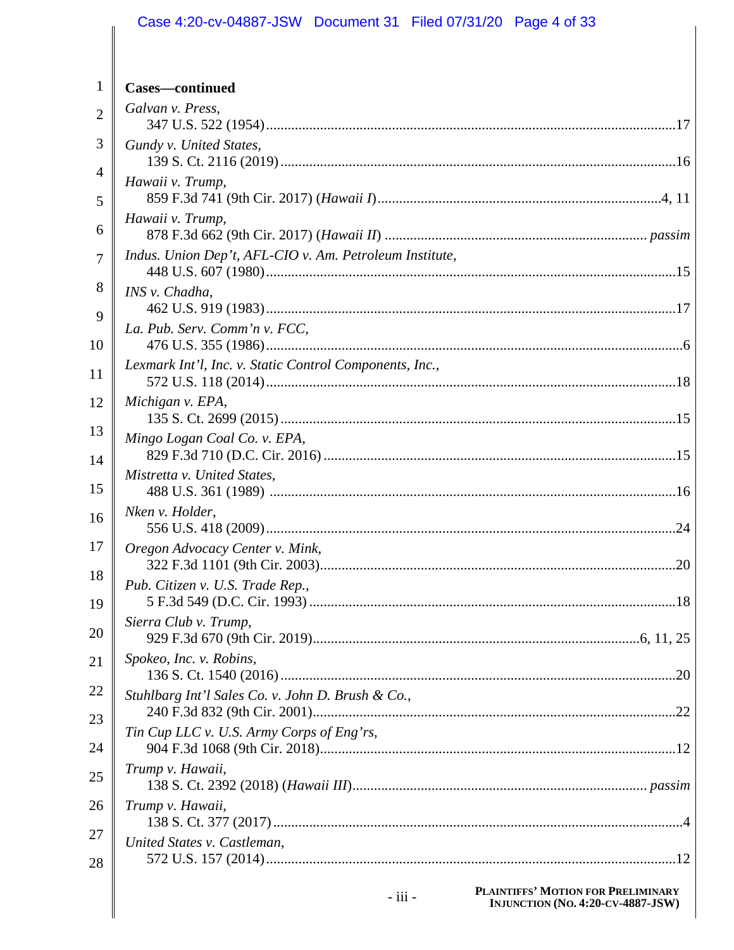#### Case 4:20-cv-04887-JSW Document 31 Filed 07/31/20 Page 4 of 33  $\mathbf{1}$ Cases—continued Galvan v. Press,  $\overline{2}$ 3 Gundy v. United States,  $\overline{4}$ Hawaii v. Trump, 5 Hawaii v. Trump, 6 Indus. Union Dep't, AFL-CIO v. Am. Petroleum Institute,  $\overline{7}$ 8 INS v. Chadha, 9 La. Pub. Serv. Comm'n v. FCC, 10 Lexmark Int'l, Inc. v. Static Control Components, Inc., 11 12 Michigan v. EPA, 13 Mingo Logan Coal Co. v. EPA, 14 Mistretta v. United States, 15 Nken v. Holder, 16 17 Oregon Advocacy Center v. Mink, 18 Pub. Citizen v. U.S. Trade Rep., 19 Sierra Club v. Trump, 20 Spokeo, Inc. v. Robins, 21 22 Stuhlbarg Int'l Sales Co. v. John D. Brush & Co., 23 Tin Cup LLC v. U.S. Army Corps of Eng'rs, 24 Trump v. Hawaii, 25 26 Trump v. Hawaii, 27 United States v. Castleman. 28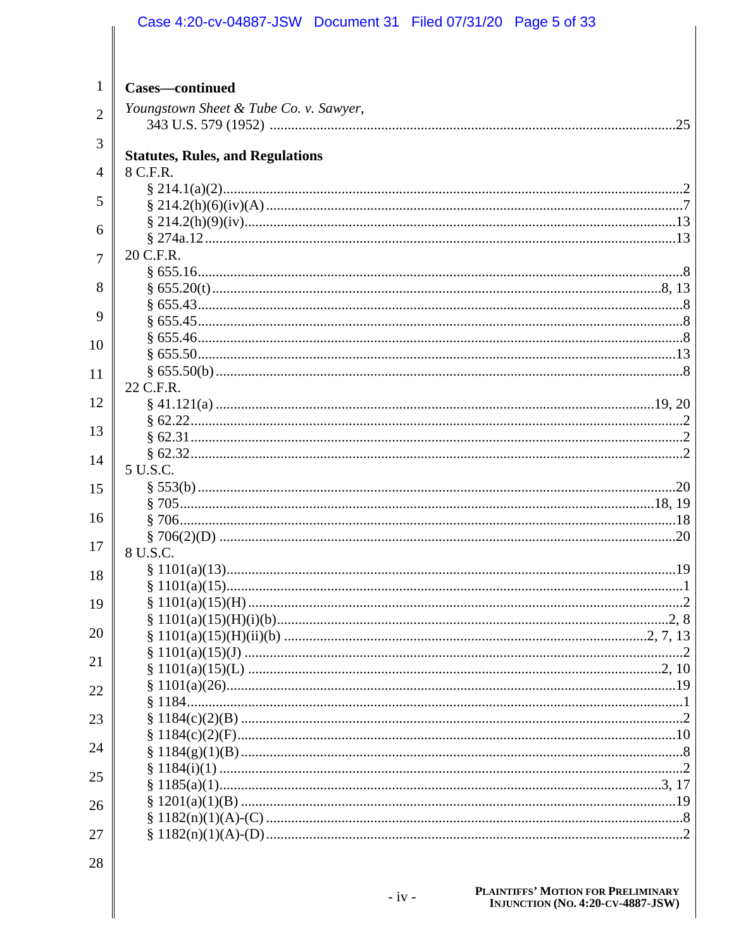|                | Case 4:20-cv-04887-JSW Document 31 Filed 07/31/20 Page 5 of 33 |
|----------------|----------------------------------------------------------------|
|                |                                                                |
|                |                                                                |
| 1              | <b>Cases—continued</b>                                         |
| $\overline{2}$ | Youngstown Sheet & Tube Co. v. Sawyer,                         |
|                |                                                                |
| 3              | <b>Statutes, Rules, and Regulations</b>                        |
| 4              | 8 C.F.R.                                                       |
|                |                                                                |
| 5              | $\frac{214.2(h)(6)(iv)(A) \dots}{7}$                           |
| 6              |                                                                |
|                | 20 C.F.R.                                                      |
| 7              |                                                                |
| 8              |                                                                |
|                |                                                                |
| 9              |                                                                |
| 10             |                                                                |
| 11             |                                                                |
|                | 22 C.F.R.                                                      |
| 12             |                                                                |
| 13             |                                                                |
|                |                                                                |
| 14             | 5 U.S.C.                                                       |
| 15             |                                                                |
|                |                                                                |
| 16             |                                                                |
| 17             |                                                                |
|                | 8 U.S.C.                                                       |
| 18             |                                                                |
| 19             |                                                                |
|                |                                                                |
| 20             |                                                                |
| 21             |                                                                |
| 22             |                                                                |
|                |                                                                |
| 23             |                                                                |
| 24             |                                                                |
|                |                                                                |
| 25             |                                                                |
| 26             |                                                                |
|                |                                                                |
| 27             |                                                                |
| 28             |                                                                |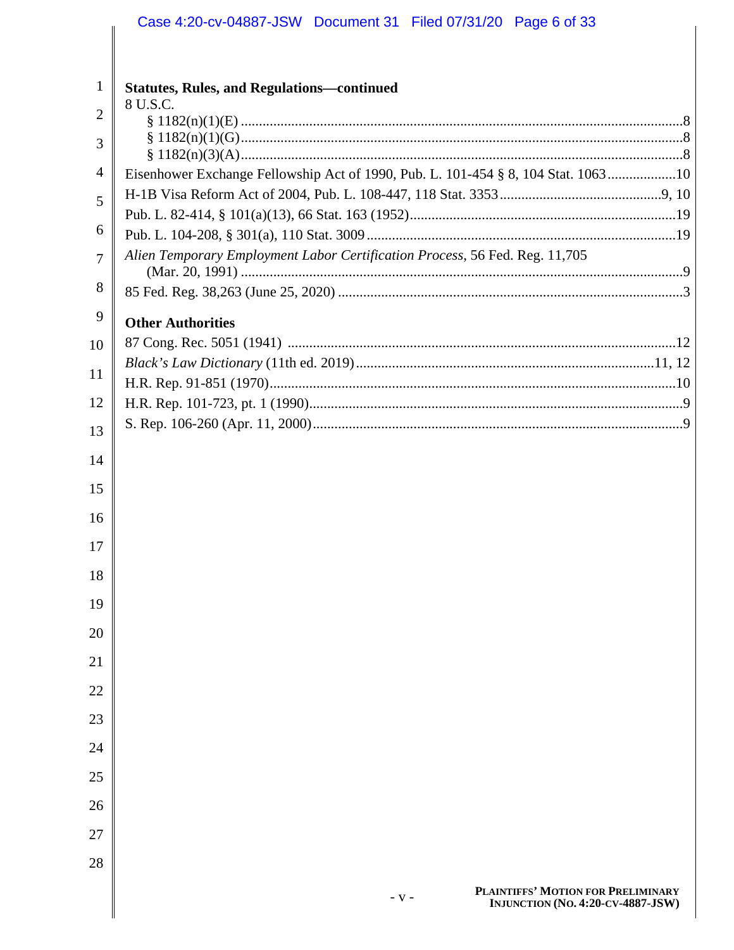| $\mathbf{1}$   | <b>Statutes, Rules, and Regulations-continued</b>                                 |
|----------------|-----------------------------------------------------------------------------------|
| $\overline{2}$ | 8 U.S.C.                                                                          |
| 3              |                                                                                   |
|                |                                                                                   |
| 4              | Eisenhower Exchange Fellowship Act of 1990, Pub. L. 101-454 § 8, 104 Stat. 106310 |
| 5              |                                                                                   |
| 6              |                                                                                   |
|                | Alien Temporary Employment Labor Certification Process, 56 Fed. Reg. 11,705       |
| $\overline{7}$ |                                                                                   |
| 8              |                                                                                   |
| 9              | <b>Other Authorities</b>                                                          |
| 10             |                                                                                   |
| 11             |                                                                                   |
|                |                                                                                   |
| 12             |                                                                                   |
| 13             |                                                                                   |
| 14             |                                                                                   |
| 15             |                                                                                   |
| 16             |                                                                                   |
| 17             |                                                                                   |
| 18             |                                                                                   |
| 19             |                                                                                   |
| 20             |                                                                                   |
| 21             |                                                                                   |
| 22             |                                                                                   |
| 23             |                                                                                   |
| 24             |                                                                                   |
| 25             |                                                                                   |
| 26             |                                                                                   |
| 27             |                                                                                   |
| 28             |                                                                                   |
|                | DE AINTIFFE <sup>2</sup> MOTION FOR DREI BJINARY                                  |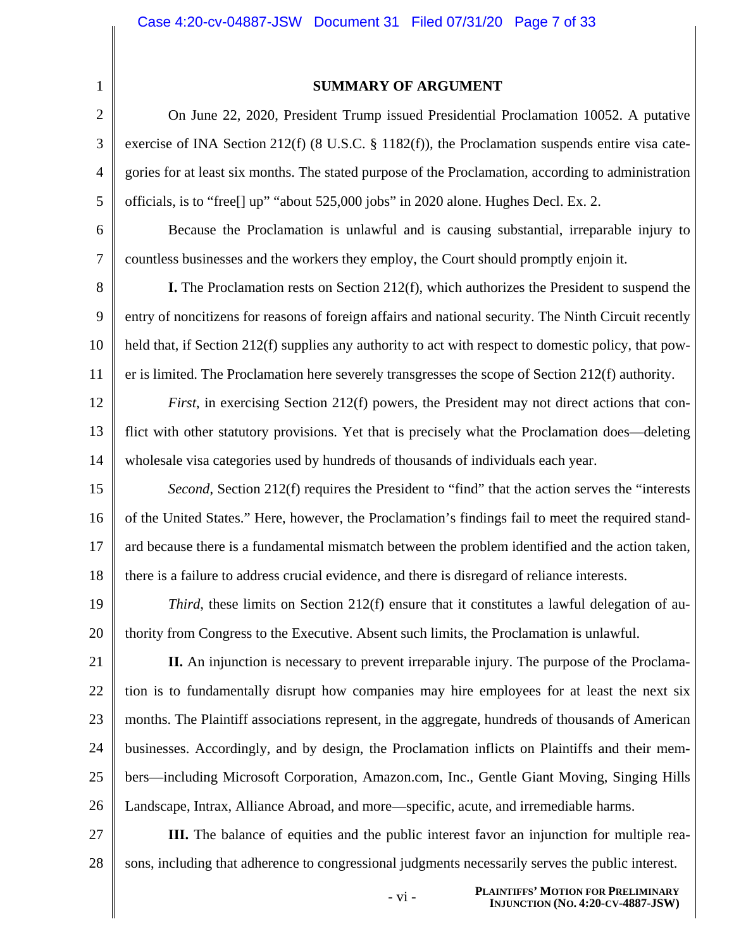1 2

3

4

5

7

#### **SUMMARY OF ARGUMENT**

On June 22, 2020, President Trump issued Presidential Proclamation 10052. A putative exercise of INA Section 212(f) (8 U.S.C. § 1182(f)), the Proclamation suspends entire visa categories for at least six months. The stated purpose of the Proclamation, according to administration officials, is to "free[] up" "about 525,000 jobs" in 2020 alone. Hughes Decl. Ex. 2.

6 Because the Proclamation is unlawful and is causing substantial, irreparable injury to countless businesses and the workers they employ, the Court should promptly enjoin it.

8 9 10 11 **I.** The Proclamation rests on Section 212(f), which authorizes the President to suspend the entry of noncitizens for reasons of foreign affairs and national security. The Ninth Circuit recently held that, if Section 212(f) supplies any authority to act with respect to domestic policy, that power is limited. The Proclamation here severely transgresses the scope of Section 212(f) authority.

12 13 14 *First*, in exercising Section 212(f) powers, the President may not direct actions that conflict with other statutory provisions. Yet that is precisely what the Proclamation does—deleting wholesale visa categories used by hundreds of thousands of individuals each year.

15 16 17 18 *Second*, Section 212(f) requires the President to "find" that the action serves the "interests" of the United States." Here, however, the Proclamation's findings fail to meet the required standard because there is a fundamental mismatch between the problem identified and the action taken, there is a failure to address crucial evidence, and there is disregard of reliance interests.

19 20 *Third*, these limits on Section 212(f) ensure that it constitutes a lawful delegation of authority from Congress to the Executive. Absent such limits, the Proclamation is unlawful.

21 22 23 24 25 26 **II.** An injunction is necessary to prevent irreparable injury. The purpose of the Proclamation is to fundamentally disrupt how companies may hire employees for at least the next six months. The Plaintiff associations represent, in the aggregate, hundreds of thousands of American businesses. Accordingly, and by design, the Proclamation inflicts on Plaintiffs and their members—including Microsoft Corporation, Amazon.com, Inc., Gentle Giant Moving, Singing Hills Landscape, Intrax, Alliance Abroad, and more—specific, acute, and irremediable harms.

27 28 **III.** The balance of equities and the public interest favor an injunction for multiple reasons, including that adherence to congressional judgments necessarily serves the public interest.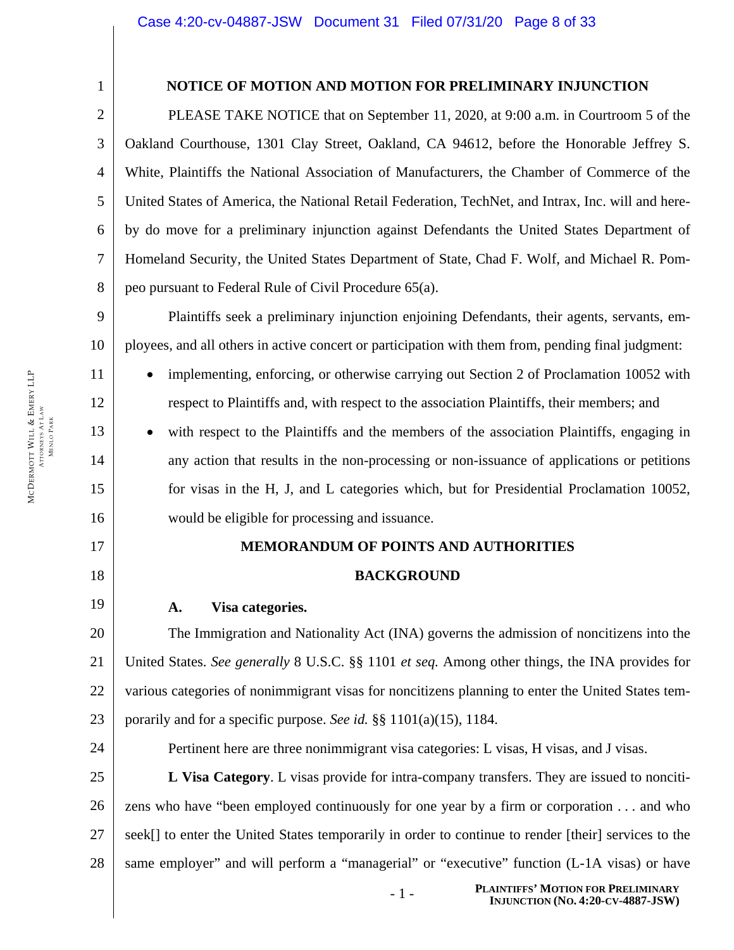17 18

1

2

3

4

5

6

7

8

11

12

13

14

15

16

19

24

### **NOTICE OF MOTION AND MOTION FOR PRELIMINARY INJUNCTION**

PLEASE TAKE NOTICE that on September 11, 2020, at 9:00 a.m. in Courtroom 5 of the Oakland Courthouse, 1301 Clay Street, Oakland, CA 94612, before the Honorable Jeffrey S. White, Plaintiffs the National Association of Manufacturers, the Chamber of Commerce of the United States of America, the National Retail Federation, TechNet, and Intrax, Inc. will and hereby do move for a preliminary injunction against Defendants the United States Department of Homeland Security, the United States Department of State, Chad F. Wolf, and Michael R. Pompeo pursuant to Federal Rule of Civil Procedure 65(a).

9 10 Plaintiffs seek a preliminary injunction enjoining Defendants, their agents, servants, employees, and all others in active concert or participation with them from, pending final judgment:

implementing, enforcing, or otherwise carrying out Section 2 of Proclamation 10052 with respect to Plaintiffs and, with respect to the association Plaintiffs, their members; and

with respect to the Plaintiffs and the members of the association Plaintiffs, engaging in any action that results in the non-processing or non-issuance of applications or petitions for visas in the H, J, and L categories which, but for Presidential Proclamation 10052, would be eligible for processing and issuance.

#### **MEMORANDUM OF POINTS AND AUTHORITIES**

#### **BACKGROUND**

#### **A. Visa categories.**

20 21 22 23 The Immigration and Nationality Act (INA) governs the admission of noncitizens into the United States. *See generally* 8 U.S.C. §§ 1101 *et seq.* Among other things, the INA provides for various categories of nonimmigrant visas for noncitizens planning to enter the United States temporarily and for a specific purpose. *See id.* §§ 1101(a)(15), 1184.

Pertinent here are three nonimmigrant visa categories: L visas, H visas, and J visas.

25 26 27 28 **L Visa Category**. L visas provide for intra-company transfers. They are issued to noncitizens who have "been employed continuously for one year by a firm or corporation . . . and who seek[] to enter the United States temporarily in order to continue to render [their] services to the same employer" and will perform a "managerial" or "executive" function (L-1A visas) or have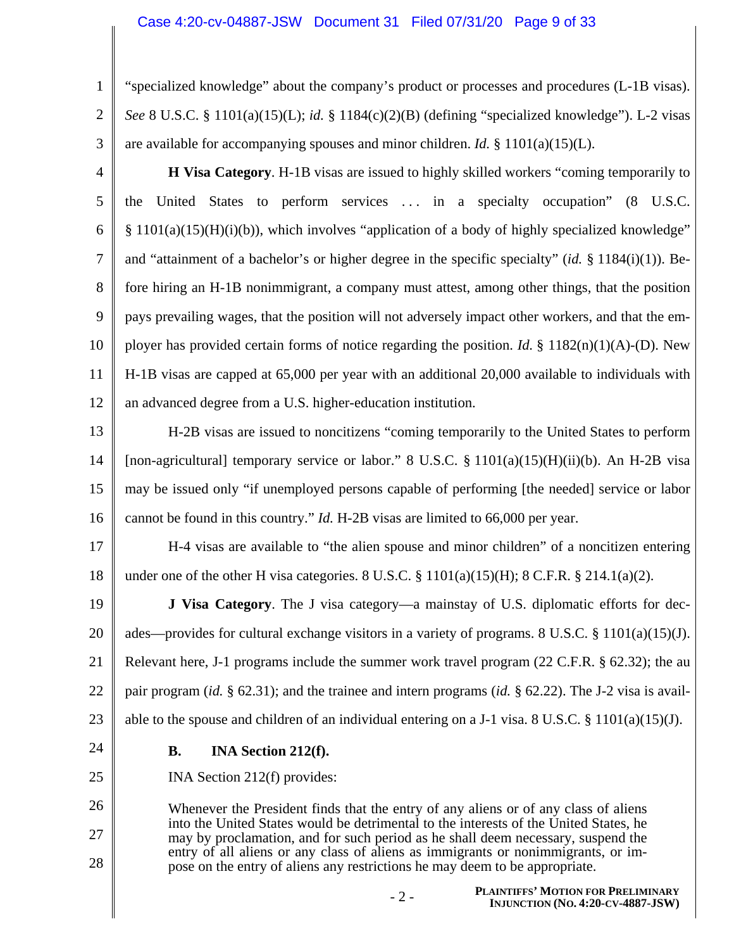2 3 "specialized knowledge" about the company's product or processes and procedures (L-1B visas). *See* 8 U.S.C. § 1101(a)(15)(L); *id.* § 1184(c)(2)(B) (defining "specialized knowledge"). L-2 visas are available for accompanying spouses and minor children. *Id.* § 1101(a)(15)(L).

4 5 6 7 8 9 10 11 12 **H Visa Category**. H-1B visas are issued to highly skilled workers "coming temporarily to the United States to perform services . . . in a specialty occupation" (8 U.S.C. § 1101(a)(15)(H)(i)(b)), which involves "application of a body of highly specialized knowledge" and "attainment of a bachelor's or higher degree in the specific specialty" (*id.* § 1184(i)(1)). Before hiring an H-1B nonimmigrant, a company must attest, among other things, that the position pays prevailing wages, that the position will not adversely impact other workers, and that the employer has provided certain forms of notice regarding the position. *Id.* § 1182(n)(1)(A)-(D). New H-1B visas are capped at 65,000 per year with an additional 20,000 available to individuals with an advanced degree from a U.S. higher-education institution.

13 14 15 16 H-2B visas are issued to noncitizens "coming temporarily to the United States to perform [non-agricultural] temporary service or labor." 8 U.S.C.  $\S$  1101(a)(15)(H)(ii)(b). An H-2B visa may be issued only "if unemployed persons capable of performing [the needed] service or labor cannot be found in this country." *Id.* H-2B visas are limited to 66,000 per year.

17 18 H-4 visas are available to "the alien spouse and minor children" of a noncitizen entering under one of the other H visa categories. 8 U.S.C.  $\S$  1101(a)(15)(H); 8 C.F.R.  $\S$  214.1(a)(2).

19 20 21 22 23 **J Visa Category**. The J visa category—a mainstay of U.S. diplomatic efforts for decades—provides for cultural exchange visitors in a variety of programs. 8 U.S.C. § 1101(a)(15)(J). Relevant here, J-1 programs include the summer work travel program (22 C.F.R. § 62.32); the au pair program (*id.* § 62.31); and the trainee and intern programs (*id.* § 62.22). The J-2 visa is available to the spouse and children of an individual entering on a J-1 visa. 8 U.S.C.  $\S$  1101(a)(15)(J).

24

25

26

27

28

1

### **B. INA Section 212(f).**

INA Section 212(f) provides:

Whenever the President finds that the entry of any aliens or of any class of aliens into the United States would be detrimental to the interests of the United States, he may by proclamation, and for such period as he shall deem necessary, suspend the entry of all aliens or any class of aliens as immigrants or nonimmigrants, or impose on the entry of aliens any restrictions he may deem to be appropriate.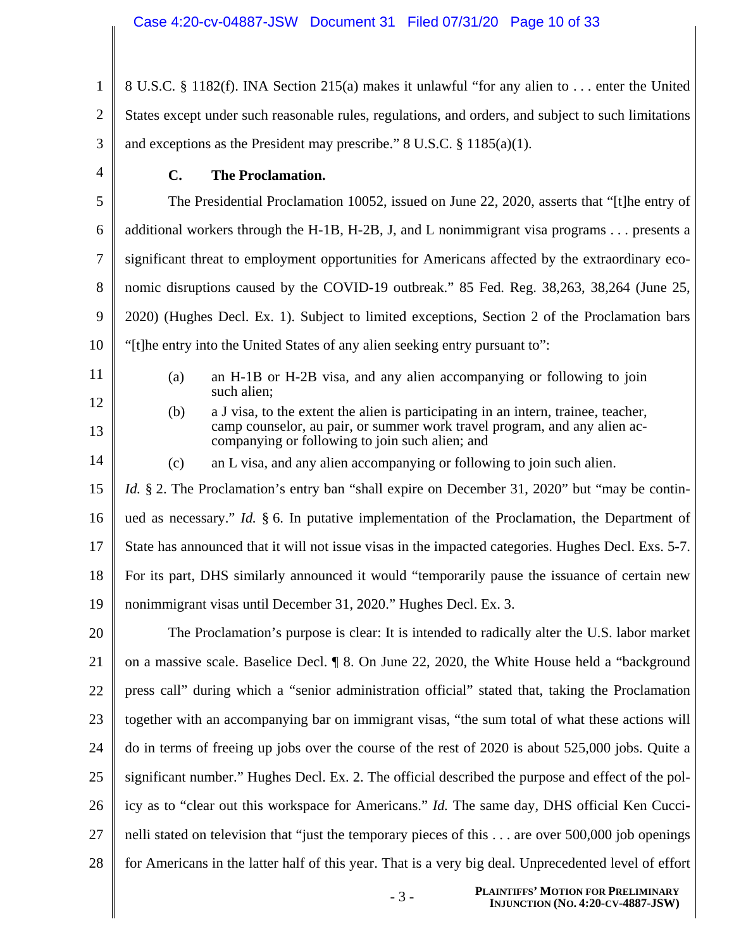| $\mathbf{1}$   | 8 U.S.C. § 1182(f). INA Section 215(a) makes it unlawful "for any alien to  enter the United                                                                                                                              |  |  |  |
|----------------|---------------------------------------------------------------------------------------------------------------------------------------------------------------------------------------------------------------------------|--|--|--|
| $\overline{2}$ | States except under such reasonable rules, regulations, and orders, and subject to such limitations                                                                                                                       |  |  |  |
| 3              | and exceptions as the President may prescribe." $8 \text{ U.S.C. } $1185(a)(1)$ .                                                                                                                                         |  |  |  |
| $\overline{4}$ | <b>The Proclamation.</b><br>$\mathbf{C}$ .                                                                                                                                                                                |  |  |  |
| 5              | The Presidential Proclamation 10052, issued on June 22, 2020, asserts that "[t]he entry of                                                                                                                                |  |  |  |
| 6              | additional workers through the H-1B, H-2B, J, and L nonimmigrant visa programs $\dots$ presents a                                                                                                                         |  |  |  |
| 7              | significant threat to employment opportunities for Americans affected by the extraordinary eco-                                                                                                                           |  |  |  |
| 8              | nomic disruptions caused by the COVID-19 outbreak." 85 Fed. Reg. 38,263, 38,264 (June 25,                                                                                                                                 |  |  |  |
| 9              | 2020) (Hughes Decl. Ex. 1). Subject to limited exceptions, Section 2 of the Proclamation bars                                                                                                                             |  |  |  |
| 10             | "[t] t] The entry into the United States of any alien seeking entry pursuant to":                                                                                                                                         |  |  |  |
| 11             | an H-1B or H-2B visa, and any alien accompanying or following to join<br>(a)<br>such alien;                                                                                                                               |  |  |  |
| 12<br>13       | (b)<br>a J visa, to the extent the alien is participating in an intern, trainee, teacher,<br>camp counselor, au pair, or summer work travel program, and any alien ac-<br>companying or following to join such alien; and |  |  |  |
| 14             | an L visa, and any alien accompanying or following to join such alien.<br>(c)                                                                                                                                             |  |  |  |
| 15             | <i>Id.</i> § 2. The Proclamation's entry ban "shall expire on December 31, 2020" but "may be contin-                                                                                                                      |  |  |  |
| 16             | ued as necessary." <i>Id.</i> $\S$ 6. In putative implementation of the Proclamation, the Department of                                                                                                                   |  |  |  |
| 17             | State has announced that it will not issue visas in the impacted categories. Hughes Decl. Exs. 5-7.                                                                                                                       |  |  |  |
| 18             | For its part, DHS similarly announced it would "temporarily pause the issuance of certain new                                                                                                                             |  |  |  |
| 19             | nonimmigrant visas until December 31, 2020." Hughes Decl. Ex. 3.                                                                                                                                                          |  |  |  |
| 20             | The Proclamation's purpose is clear: It is intended to radically alter the U.S. labor market                                                                                                                              |  |  |  |
| 21             | on a massive scale. Baselice Decl. ¶ 8. On June 22, 2020, the White House held a "background"                                                                                                                             |  |  |  |
| 22             | press call" during which a "senior administration official" stated that, taking the Proclamation                                                                                                                          |  |  |  |
| 23             | together with an accompanying bar on immigrant visas, "the sum total of what these actions will                                                                                                                           |  |  |  |
| 24             | do in terms of freeing up jobs over the course of the rest of 2020 is about 525,000 jobs. Quite a                                                                                                                         |  |  |  |
| 25             | significant number." Hughes Decl. Ex. 2. The official described the purpose and effect of the pol-                                                                                                                        |  |  |  |
| 26             | icy as to "clear out this workspace for Americans." <i>Id.</i> The same day, DHS official Ken Cucci-                                                                                                                      |  |  |  |
| 27             | nelli stated on television that "just the temporary pieces of this are over 500,000 job openings                                                                                                                          |  |  |  |
| 28             | for Americans in the latter half of this year. That is a very big deal. Unprecedented level of effort                                                                                                                     |  |  |  |
|                |                                                                                                                                                                                                                           |  |  |  |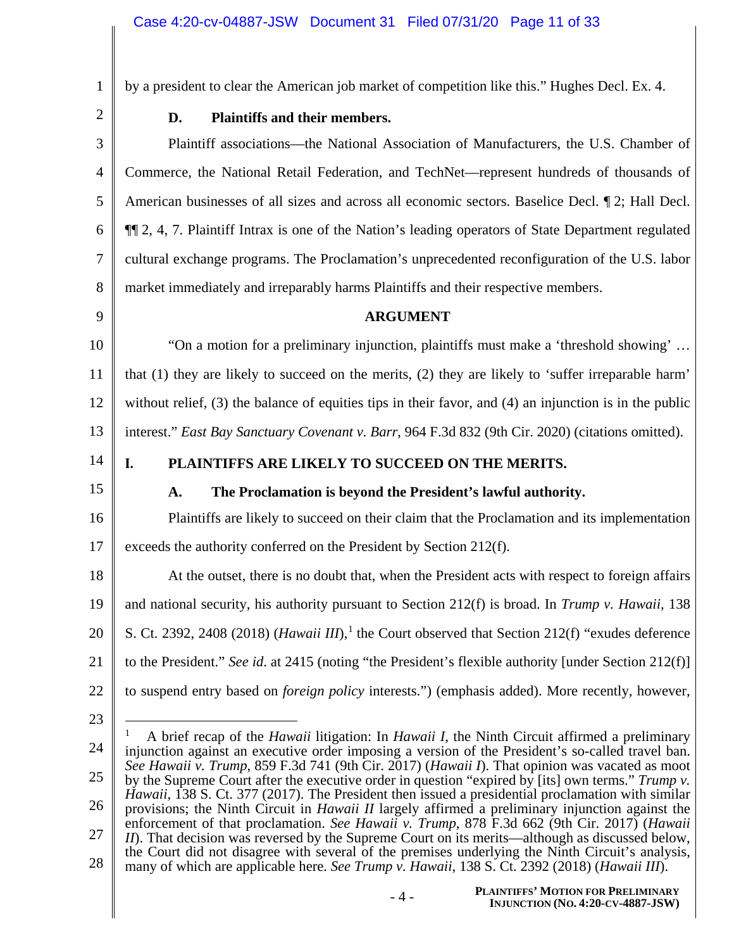by a president to clear the American job market of competition like this." Hughes Decl. Ex. 4.

2

1

### **D. Plaintiffs and their members.**

3 4 5 6 7 8 Plaintiff associations—the National Association of Manufacturers, the U.S. Chamber of Commerce, the National Retail Federation, and TechNet—represent hundreds of thousands of American businesses of all sizes and across all economic sectors. Baselice Decl. ¶ 2; Hall Decl. ¶¶ 2, 4, 7. Plaintiff Intrax is one of the Nation's leading operators of State Department regulated cultural exchange programs. The Proclamation's unprecedented reconfiguration of the U.S. labor market immediately and irreparably harms Plaintiffs and their respective members.

9

### **ARGUMENT**

10 11 12 13 "On a motion for a preliminary injunction, plaintiffs must make a 'threshold showing' … that (1) they are likely to succeed on the merits, (2) they are likely to 'suffer irreparable harm' without relief, (3) the balance of equities tips in their favor, and (4) an injunction is in the public interest." *East Bay Sanctuary Covenant v. Barr*, 964 F.3d 832 (9th Cir. 2020) (citations omitted).

14

### **I. PLAINTIFFS ARE LIKELY TO SUCCEED ON THE MERITS.**

15

### **A. The Proclamation is beyond the President's lawful authority.**

16 17 Plaintiffs are likely to succeed on their claim that the Proclamation and its implementation exceeds the authority conferred on the President by Section 212(f).

18 19 20 21 22 At the outset, there is no doubt that, when the President acts with respect to foreign affairs and national security, his authority pursuant to Section 212(f) is broad. In *Trump v. Hawaii*, 138 S. Ct. 2392, 2408 (2018) (*Hawaii III*),<sup>1</sup> the Court observed that Section 212(f) "exudes deference to the President." *See id*. at 2415 (noting "the President's flexible authority [under Section 212(f)] to suspend entry based on *foreign policy* interests.") (emphasis added). More recently, however,

<sup>24</sup> 25 26 27 28 1 A brief recap of the *Hawaii* litigation: In *Hawaii I*, the Ninth Circuit affirmed a preliminary injunction against an executive order imposing a version of the President's so-called travel ban. *See Hawaii v. Trump*, 859 F.3d 741 (9th Cir. 2017) (*Hawaii I*). That opinion was vacated as moot by the Supreme Court after the executive order in question "expired by [its] own terms." *Trump v. Hawaii*, 138 S. Ct. 377 (2017). The President then issued a presidential proclamation with similar provisions; the Ninth Circuit in *Hawaii II* largely affirmed a preliminary injunction against the enforcement of that proclamation. *See Hawaii v. Trump*, 878 F.3d 662 (9th Cir. 2017) (*Hawaii II*). That decision was reversed by the Supreme Court on its merits—although as discussed below, the Court did not disagree with several of the premises underlying the Ninth Circuit's analysis, many of which are applicable here. *See Trump v. Hawaii*, 138 S. Ct. 2392 (2018) (*Hawaii III*).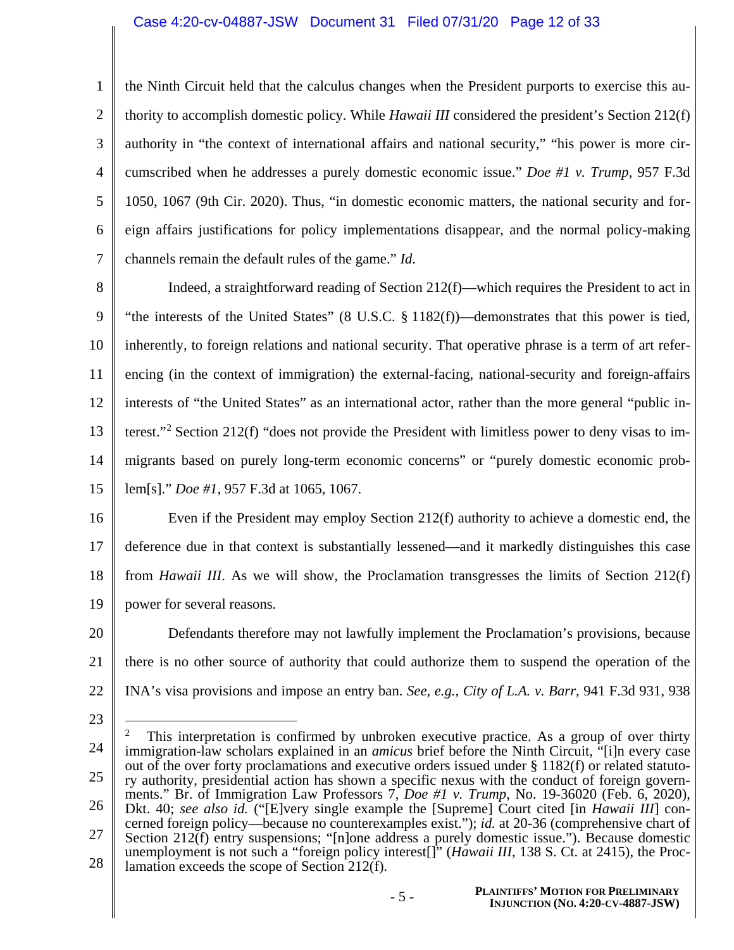#### Case 4:20-cv-04887-JSW Document 31 Filed 07/31/20 Page 12 of 33

1 2 3 4 5 6 7 the Ninth Circuit held that the calculus changes when the President purports to exercise this authority to accomplish domestic policy. While *Hawaii III* considered the president's Section 212(f) authority in "the context of international affairs and national security," "his power is more circumscribed when he addresses a purely domestic economic issue." *Doe #1 v. Trump*, 957 F.3d 1050, 1067 (9th Cir. 2020). Thus, "in domestic economic matters, the national security and foreign affairs justifications for policy implementations disappear, and the normal policy-making channels remain the default rules of the game." *Id*.

8 9 10 11 12 13 14 15 Indeed, a straightforward reading of Section 212(f)—which requires the President to act in "the interests of the United States" (8 U.S.C. § 1182(f))—demonstrates that this power is tied, inherently, to foreign relations and national security. That operative phrase is a term of art referencing (in the context of immigration) the external-facing, national-security and foreign-affairs interests of "the United States" as an international actor, rather than the more general "public interest."<sup>2</sup> Section 212(f) "does not provide the President with limitless power to deny visas to immigrants based on purely long-term economic concerns" or "purely domestic economic problem[s]." *Doe #1*, 957 F.3d at 1065, 1067.

16 17 18 19 Even if the President may employ Section 212(f) authority to achieve a domestic end, the deference due in that context is substantially lessened—and it markedly distinguishes this case from *Hawaii III*. As we will show, the Proclamation transgresses the limits of Section 212(f) power for several reasons.

20 21 22 Defendants therefore may not lawfully implement the Proclamation's provisions, because there is no other source of authority that could authorize them to suspend the operation of the INA's visa provisions and impose an entry ban. *See, e.g.*, *City of L.A. v. Barr*, 941 F.3d 931, 938

- 23
- 24 25 26 27 28 2 This interpretation is confirmed by unbroken executive practice. As a group of over thirty immigration-law scholars explained in an *amicus* brief before the Ninth Circuit, "[i]n every case out of the over forty proclamations and executive orders issued under § 1182(f) or related statutory authority, presidential action has shown a specific nexus with the conduct of foreign governments." Br. of Immigration Law Professors 7, *Doe #1 v. Trump*, No. 19-36020 (Feb. 6, 2020), Dkt. 40; *see also id.* ("[E]very single example the [Supreme] Court cited [in *Hawaii III*] concerned foreign policy—because no counterexamples exist."); *id.* at 20-36 (comprehensive chart of Section 212(f) entry suspensions; "[n]one address a purely domestic issue."). Because domestic unemployment is not such a "foreign policy interest[]" (*Hawaii III*, 138 S. Ct. at 2415), the Proclamation exceeds the scope of Section 212(f).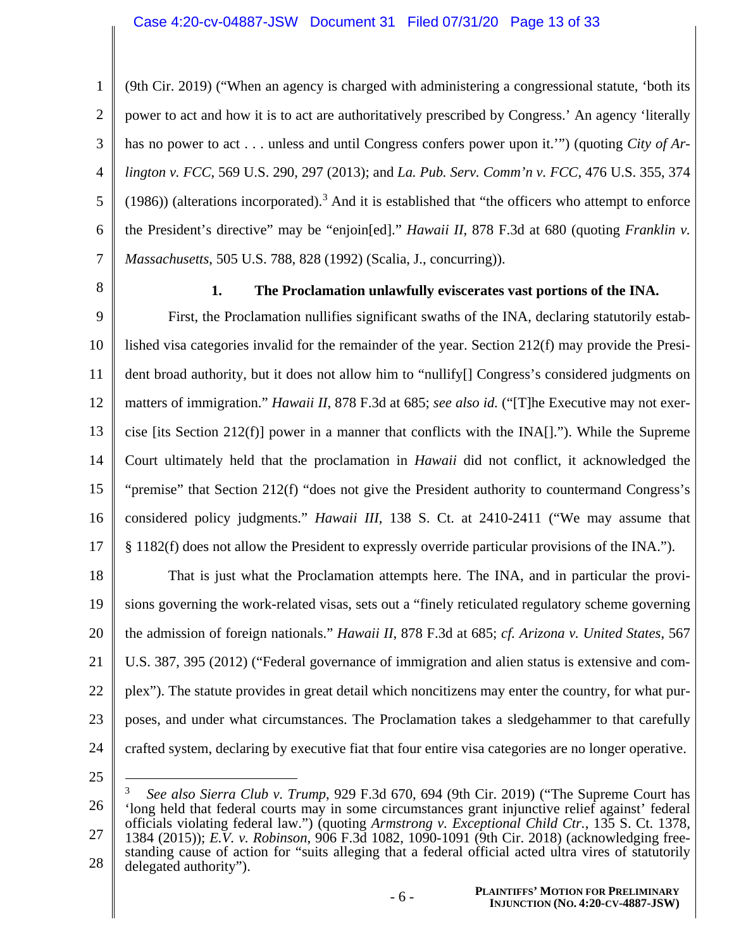1 2 3 4 5 6 7 (9th Cir. 2019) ("When an agency is charged with administering a congressional statute, 'both its power to act and how it is to act are authoritatively prescribed by Congress.' An agency 'literally has no power to act . . . unless and until Congress confers power upon it.'") (quoting *City of Arlington v. FCC*, 569 U.S. 290, 297 (2013); and *La. Pub. Serv. Comm'n v. FCC*, 476 U.S. 355, 374 (1986)) (alterations incorporated).<sup>3</sup> And it is established that "the officers who attempt to enforce the President's directive" may be "enjoin[ed]." *Hawaii II*, 878 F.3d at 680 (quoting *Franklin v. Massachusetts*, 505 U.S. 788, 828 (1992) (Scalia, J., concurring)).

8

### **1. The Proclamation unlawfully eviscerates vast portions of the INA.**

9 10 11 12 13 14 15 16 17 First, the Proclamation nullifies significant swaths of the INA, declaring statutorily established visa categories invalid for the remainder of the year. Section 212(f) may provide the President broad authority, but it does not allow him to "nullify[] Congress's considered judgments on matters of immigration." *Hawaii II*, 878 F.3d at 685; *see also id.* ("[T]he Executive may not exercise [its Section 212(f)] power in a manner that conflicts with the  $[NA]]$ ."). While the Supreme Court ultimately held that the proclamation in *Hawaii* did not conflict, it acknowledged the "premise" that Section 212(f) "does not give the President authority to countermand Congress's considered policy judgments." *Hawaii III*, 138 S. Ct. at 2410-2411 ("We may assume that § 1182(f) does not allow the President to expressly override particular provisions of the INA.").

18 19 20 21 22 23 24 That is just what the Proclamation attempts here. The INA, and in particular the provisions governing the work-related visas, sets out a "finely reticulated regulatory scheme governing the admission of foreign nationals." *Hawaii II*, 878 F.3d at 685; *cf. Arizona v. United States*, 567 U.S. 387, 395 (2012) ("Federal governance of immigration and alien status is extensive and complex"). The statute provides in great detail which noncitizens may enter the country, for what purposes, and under what circumstances. The Proclamation takes a sledgehammer to that carefully crafted system, declaring by executive fiat that four entire visa categories are no longer operative.

<sup>26</sup> 27 28 3 *See also Sierra Club v. Trump*, 929 F.3d 670, 694 (9th Cir. 2019) ("The Supreme Court has 'long held that federal courts may in some circumstances grant injunctive relief against' federal officials violating federal law.") (quoting *Armstrong v. Exceptional Child Ctr.*, 135 S. Ct. 1378, 1384 (2015)); *E.V. v. Robinson*, 906 F.3d 1082, 1090-1091 (9th Cir. 2018) (acknowledging freestanding cause of action for "suits alleging that a federal official acted ultra vires of statutorily delegated authority").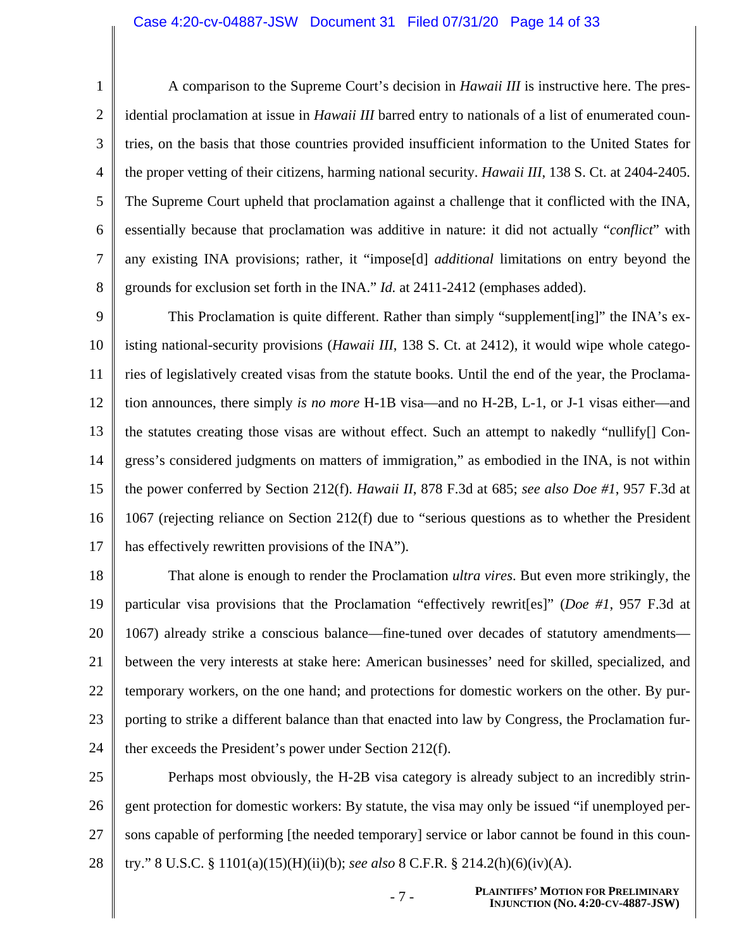#### Case 4:20-cv-04887-JSW Document 31 Filed 07/31/20 Page 14 of 33

1 2 3 4 5 6 7 8 A comparison to the Supreme Court's decision in *Hawaii III* is instructive here. The presidential proclamation at issue in *Hawaii III* barred entry to nationals of a list of enumerated countries, on the basis that those countries provided insufficient information to the United States for the proper vetting of their citizens, harming national security. *Hawaii III*, 138 S. Ct. at 2404-2405. The Supreme Court upheld that proclamation against a challenge that it conflicted with the INA, essentially because that proclamation was additive in nature: it did not actually "*conflict*" with any existing INA provisions; rather, it "impose[d] *additional* limitations on entry beyond the grounds for exclusion set forth in the INA." *Id.* at 2411-2412 (emphases added).

9 10 11 12 13 14 15 16 17 This Proclamation is quite different. Rather than simply "supplement[ing]" the INA's existing national-security provisions (*Hawaii III*, 138 S. Ct. at 2412), it would wipe whole categories of legislatively created visas from the statute books. Until the end of the year, the Proclamation announces, there simply *is no more* H-1B visa—and no H-2B, L-1, or J-1 visas either—and the statutes creating those visas are without effect. Such an attempt to nakedly "nullify[] Congress's considered judgments on matters of immigration," as embodied in the INA, is not within the power conferred by Section 212(f). *Hawaii II*, 878 F.3d at 685; *see also Doe #1*, 957 F.3d at 1067 (rejecting reliance on Section 212(f) due to "serious questions as to whether the President has effectively rewritten provisions of the INA").

18 19 20 21 22 23 24 That alone is enough to render the Proclamation *ultra vires*. But even more strikingly, the particular visa provisions that the Proclamation "effectively rewrit[es]" (*Doe #1*, 957 F.3d at 1067) already strike a conscious balance—fine-tuned over decades of statutory amendments between the very interests at stake here: American businesses' need for skilled, specialized, and temporary workers, on the one hand; and protections for domestic workers on the other. By purporting to strike a different balance than that enacted into law by Congress, the Proclamation further exceeds the President's power under Section 212(f).

25 26 27 28 Perhaps most obviously, the H-2B visa category is already subject to an incredibly stringent protection for domestic workers: By statute, the visa may only be issued "if unemployed persons capable of performing [the needed temporary] service or labor cannot be found in this country." 8 U.S.C. § 1101(a)(15)(H)(ii)(b); *see also* 8 C.F.R. § 214.2(h)(6)(iv)(A).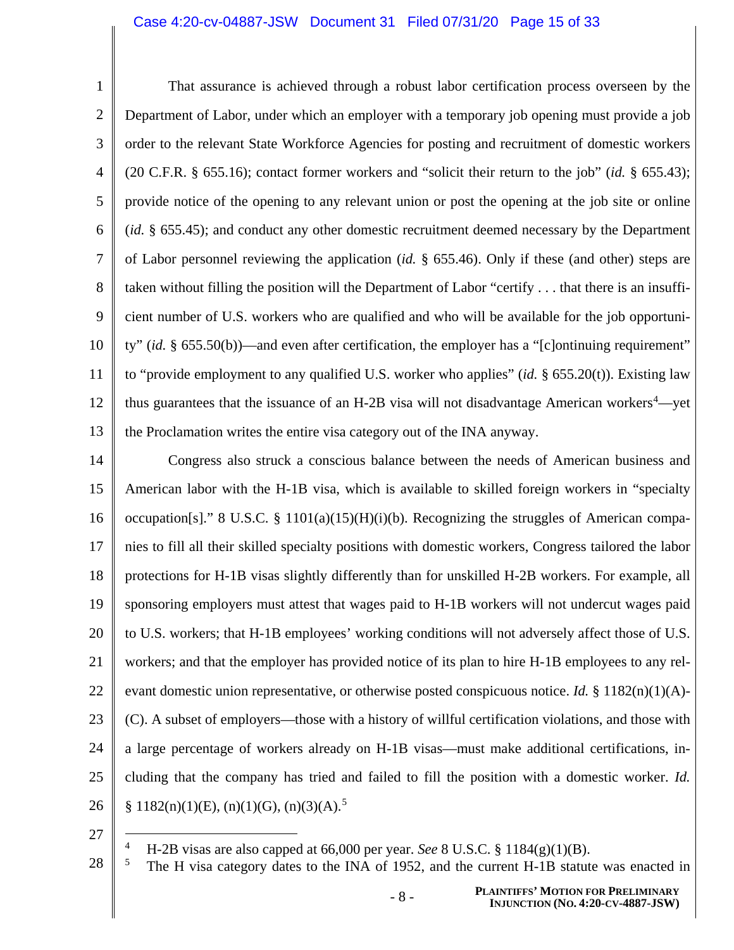#### Case 4:20-cv-04887-JSW Document 31 Filed 07/31/20 Page 15 of 33

1 2 3 4 5 6 7 8 9 10 11 12 13 That assurance is achieved through a robust labor certification process overseen by the Department of Labor, under which an employer with a temporary job opening must provide a job order to the relevant State Workforce Agencies for posting and recruitment of domestic workers (20 C.F.R. § 655.16); contact former workers and "solicit their return to the job" (*id.* § 655.43); provide notice of the opening to any relevant union or post the opening at the job site or online (*id.* § 655.45); and conduct any other domestic recruitment deemed necessary by the Department of Labor personnel reviewing the application (*id.* § 655.46). Only if these (and other) steps are taken without filling the position will the Department of Labor "certify . . . that there is an insufficient number of U.S. workers who are qualified and who will be available for the job opportunity" (*id.* § 655.50(b))—and even after certification, the employer has a "[c]ontinuing requirement" to "provide employment to any qualified U.S. worker who applies" (*id.* § 655.20(t)). Existing law thus guarantees that the issuance of an H-2B visa will not disadvantage American workers<sup>4</sup>—yet the Proclamation writes the entire visa category out of the INA anyway.

14 15 16 17 18 19 20 21 22 23 24 25 26 Congress also struck a conscious balance between the needs of American business and American labor with the H-1B visa, which is available to skilled foreign workers in "specialty occupation[s]." 8 U.S.C. § 1101(a)(15)(H)(i)(b). Recognizing the struggles of American companies to fill all their skilled specialty positions with domestic workers, Congress tailored the labor protections for H-1B visas slightly differently than for unskilled H-2B workers. For example, all sponsoring employers must attest that wages paid to H-1B workers will not undercut wages paid to U.S. workers; that H-1B employees' working conditions will not adversely affect those of U.S. workers; and that the employer has provided notice of its plan to hire H-1B employees to any relevant domestic union representative, or otherwise posted conspicuous notice. *Id.* § 1182(n)(1)(A)- (C). A subset of employers—those with a history of willful certification violations, and those with a large percentage of workers already on H-1B visas—must make additional certifications, including that the company has tried and failed to fill the position with a domestic worker. *Id.*  $§ 1182(n)(1)(E), (n)(1)(G), (n)(3)(A).$ <sup>5</sup>

27

<sup>&</sup>lt;sup>4</sup> H-2B visas are also capped at 66,000 per year. *See* 8 U.S.C. § 1184(g)(1)(B).<br><sup>5</sup> The H visa category dates to the INA of 1952, and the current H 1B statute

<sup>5</sup> The H visa category dates to the INA of 1952, and the current H-1B statute was enacted in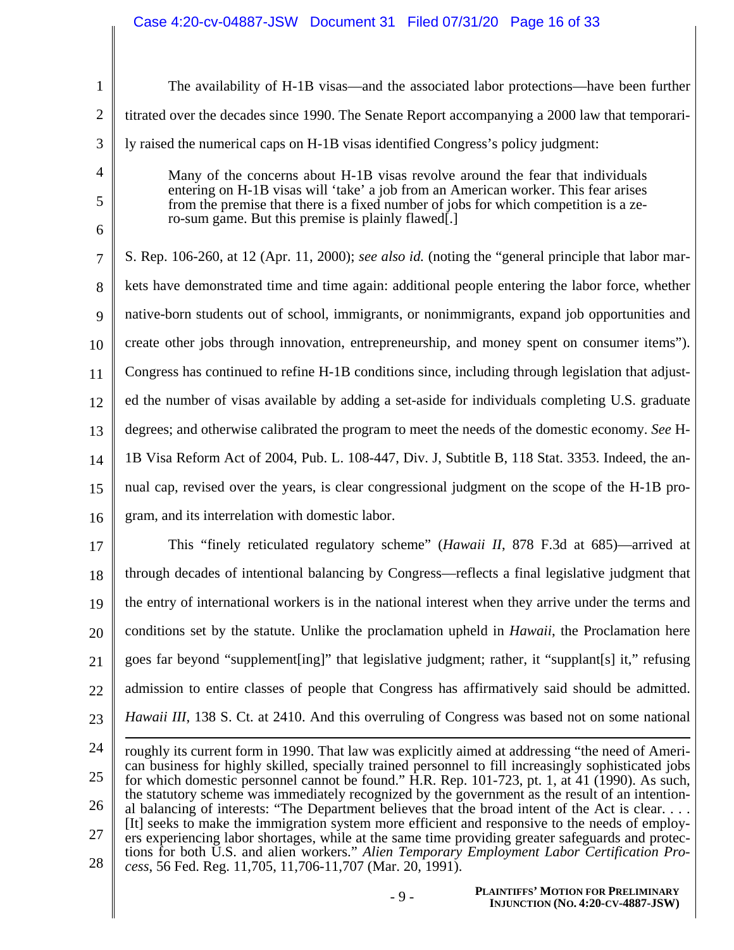| $\mathbf{1}$   | The availability of H-1B visas—and the associated labor protections—have been further                                                                                                                   |  |  |
|----------------|---------------------------------------------------------------------------------------------------------------------------------------------------------------------------------------------------------|--|--|
| $\overline{2}$ | titrated over the decades since 1990. The Senate Report accompanying a 2000 law that temporari-                                                                                                         |  |  |
| 3              | ly raised the numerical caps on H-1B visas identified Congress's policy judgment:                                                                                                                       |  |  |
| $\overline{4}$ | Many of the concerns about H-1B visas revolve around the fear that individuals                                                                                                                          |  |  |
| 5              | entering on H-1B visas will 'take' a job from an American worker. This fear arises<br>from the premise that there is a fixed number of jobs for which competition is a ze-                              |  |  |
| 6              | ro-sum game. But this premise is plainly flawed.                                                                                                                                                        |  |  |
| 7              | S. Rep. 106-260, at 12 (Apr. 11, 2000); see also id. (noting the "general principle that labor mar-                                                                                                     |  |  |
| 8              | kets have demonstrated time and time again: additional people entering the labor force, whether                                                                                                         |  |  |
| 9              | native-born students out of school, immigrants, or nonimmigrants, expand job opportunities and                                                                                                          |  |  |
| 10             | create other jobs through innovation, entrepreneurship, and money spent on consumer items").                                                                                                            |  |  |
| 11             | Congress has continued to refine H-1B conditions since, including through legislation that adjust-                                                                                                      |  |  |
| 12             | ed the number of visas available by adding a set-aside for individuals completing U.S. graduate                                                                                                         |  |  |
| 13             | degrees; and otherwise calibrated the program to meet the needs of the domestic economy. See H-                                                                                                         |  |  |
| 14             | 1B Visa Reform Act of 2004, Pub. L. 108-447, Div. J, Subtitle B, 118 Stat. 3353. Indeed, the an-                                                                                                        |  |  |
| 15             | nual cap, revised over the years, is clear congressional judgment on the scope of the H-1B pro-                                                                                                         |  |  |
| 16             | gram, and its interrelation with domestic labor.                                                                                                                                                        |  |  |
| 17             | This "finely reticulated regulatory scheme" ( <i>Hawaii II</i> , 878 F.3d at 685)—arrived at                                                                                                            |  |  |
| 18             | through decades of intentional balancing by Congress—reflects a final legislative judgment that                                                                                                         |  |  |
| 19             | the entry of international workers is in the national interest when they arrive under the terms and                                                                                                     |  |  |
| 20             | conditions set by the statute. Unlike the proclamation upheld in <i>Hawaii</i> , the Proclamation here                                                                                                  |  |  |
| 21             | goes far beyond "supplement [ing]" that legislative judgment; rather, it "supplant [s] it," refusing                                                                                                    |  |  |
| 22             | admission to entire classes of people that Congress has affirmatively said should be admitted.                                                                                                          |  |  |
| 23             | <i>Hawaii III</i> , 138 S. Ct. at 2410. And this overruling of Congress was based not on some national                                                                                                  |  |  |
| 24             | roughly its current form in 1990. That law was explicitly aimed at addressing "the need of Ameri-                                                                                                       |  |  |
| 25             | can business for highly skilled, specially trained personnel to fill increasingly sophisticated jobs<br>for which domestic personnel cannot be found." H.R. Rep. 101-723, pt. 1, at 41 (1990). As such, |  |  |
| 26             | the statutory scheme was immediately recognized by the government as the result of an intention-<br>al balancing of interests: "The Department believes that the broad intent of the Act is clear       |  |  |
| 27             | [It] seeks to make the immigration system more efficient and responsive to the needs of employ-<br>ers experiencing labor shortages, while at the same time providing greater safeguards and protec-    |  |  |
| 28             | tions for both U.S. and alien workers." Alien Temporary Employment Labor Certification Pro-<br>cess, 56 Fed. Reg. 11,705, 11,706-11,707 (Mar. 20, 1991).                                                |  |  |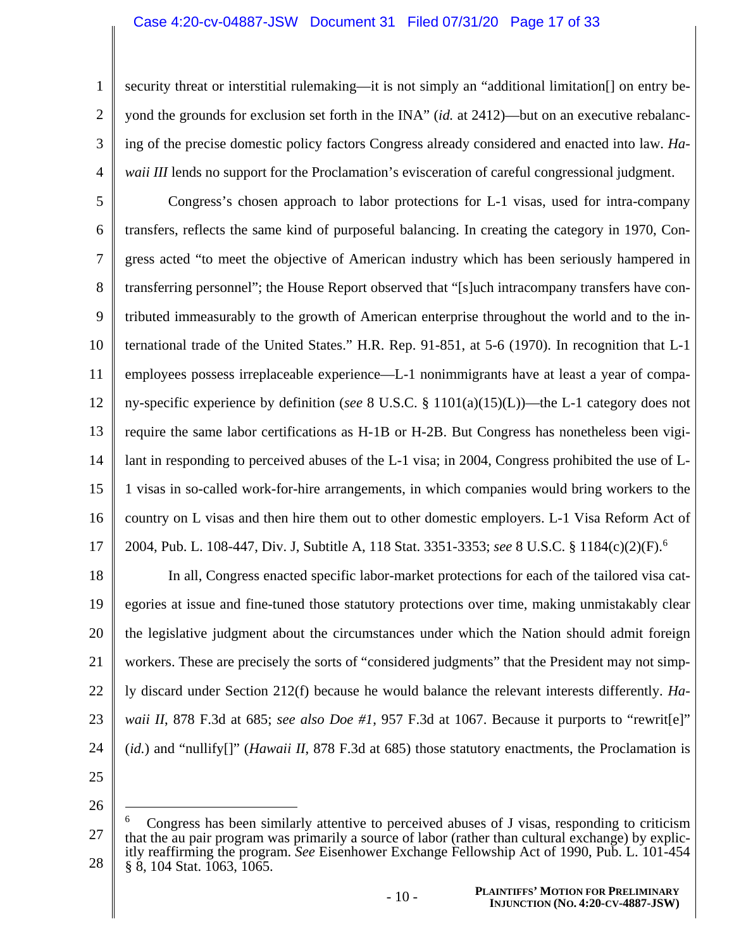#### Case 4:20-cv-04887-JSW Document 31 Filed 07/31/20 Page 17 of 33

security threat or interstitial rulemaking—it is not simply an "additional limitation[] on entry beyond the grounds for exclusion set forth in the INA" (*id.* at 2412)—but on an executive rebalancing of the precise domestic policy factors Congress already considered and enacted into law. *Hawaii III* lends no support for the Proclamation's evisceration of careful congressional judgment.

5 6 7 8 9 10 11 12 13 14 15 16 17 Congress's chosen approach to labor protections for L-1 visas, used for intra-company transfers, reflects the same kind of purposeful balancing. In creating the category in 1970, Congress acted "to meet the objective of American industry which has been seriously hampered in transferring personnel"; the House Report observed that "[s]uch intracompany transfers have contributed immeasurably to the growth of American enterprise throughout the world and to the international trade of the United States." H.R. Rep. 91-851, at 5-6 (1970). In recognition that L-1 employees possess irreplaceable experience—L-1 nonimmigrants have at least a year of company-specific experience by definition (*see* 8 U.S.C. § 1101(a)(15)(L))—the L-1 category does not require the same labor certifications as H-1B or H-2B. But Congress has nonetheless been vigilant in responding to perceived abuses of the L-1 visa; in 2004, Congress prohibited the use of L-1 visas in so-called work-for-hire arrangements, in which companies would bring workers to the country on L visas and then hire them out to other domestic employers. L-1 Visa Reform Act of 2004, Pub. L. 108-447, Div. J, Subtitle A, 118 Stat. 3351-3353; *see* 8 U.S.C. § 1184(c)(2)(F).<sup>6</sup>

18 19 20 21 22 23 24 In all, Congress enacted specific labor-market protections for each of the tailored visa categories at issue and fine-tuned those statutory protections over time, making unmistakably clear the legislative judgment about the circumstances under which the Nation should admit foreign workers. These are precisely the sorts of "considered judgments" that the President may not simply discard under Section 212(f) because he would balance the relevant interests differently. *Hawaii II*, 878 F.3d at 685; *see also Doe #1*, 957 F.3d at 1067. Because it purports to "rewrit[e]" (*id.*) and "nullify[]" (*Hawaii II*, 878 F.3d at 685) those statutory enactments, the Proclamation is

25

1

2

3

4

<sup>27</sup> 28 6 Congress has been similarly attentive to perceived abuses of J visas, responding to criticism that the au pair program was primarily a source of labor (rather than cultural exchange) by explicitly reaffirming the program. *See* Eisenhower Exchange Fellowship Act of 1990, Pub. L. 101-454 § 8, 104 Stat. 1063, 1065.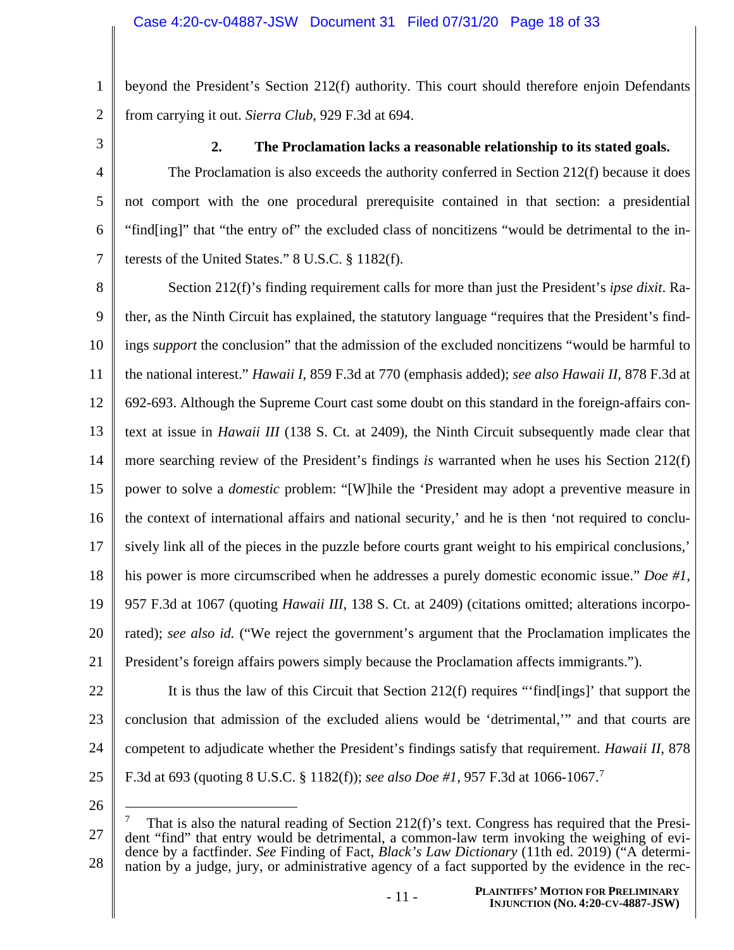beyond the President's Section 212(f) authority. This court should therefore enjoin Defendants from carrying it out. *Sierra Club*, 929 F.3d at 694.

3

4

5

6

7

1

2

### **2. The Proclamation lacks a reasonable relationship to its stated goals.**

The Proclamation is also exceeds the authority conferred in Section 212(f) because it does not comport with the one procedural prerequisite contained in that section: a presidential "find[ing]" that "the entry of" the excluded class of noncitizens "would be detrimental to the interests of the United States." 8 U.S.C. § 1182(f).

8 9 10 11 12 13 14 15 16 17 18 19 20 21 Section 212(f)'s finding requirement calls for more than just the President's *ipse dixit*. Rather, as the Ninth Circuit has explained, the statutory language "requires that the President's findings *support* the conclusion" that the admission of the excluded noncitizens "would be harmful to the national interest." *Hawaii I*, 859 F.3d at 770 (emphasis added); *see also Hawaii II*, 878 F.3d at 692-693. Although the Supreme Court cast some doubt on this standard in the foreign-affairs context at issue in *Hawaii III* (138 S. Ct. at 2409), the Ninth Circuit subsequently made clear that more searching review of the President's findings *is* warranted when he uses his Section 212(f) power to solve a *domestic* problem: "[W]hile the 'President may adopt a preventive measure in the context of international affairs and national security,' and he is then 'not required to conclusively link all of the pieces in the puzzle before courts grant weight to his empirical conclusions,' his power is more circumscribed when he addresses a purely domestic economic issue." *Doe #1*, 957 F.3d at 1067 (quoting *Hawaii III*, 138 S. Ct. at 2409) (citations omitted; alterations incorporated); *see also id.* ("We reject the government's argument that the Proclamation implicates the President's foreign affairs powers simply because the Proclamation affects immigrants.").

22

23 24 25 It is thus the law of this Circuit that Section 212(f) requires "'find[ings]' that support the conclusion that admission of the excluded aliens would be 'detrimental,'" and that courts are competent to adjudicate whether the President's findings satisfy that requirement. *Hawaii II*, 878 F.3d at 693 (quoting 8 U.S.C. § 1182(f)); *see also Doe #1*, 957 F.3d at 1066-1067.<sup>7</sup>

<sup>27</sup> 28 7 That is also the natural reading of Section 212(f)'s text. Congress has required that the President "find" that entry would be detrimental, a common-law term invoking the weighing of evidence by a factfinder. *See* Finding of Fact, *Black's Law Dictionary* (11th ed. 2019) ("A determination by a judge, jury, or administrative agency of a fact supported by the evidence in the rec-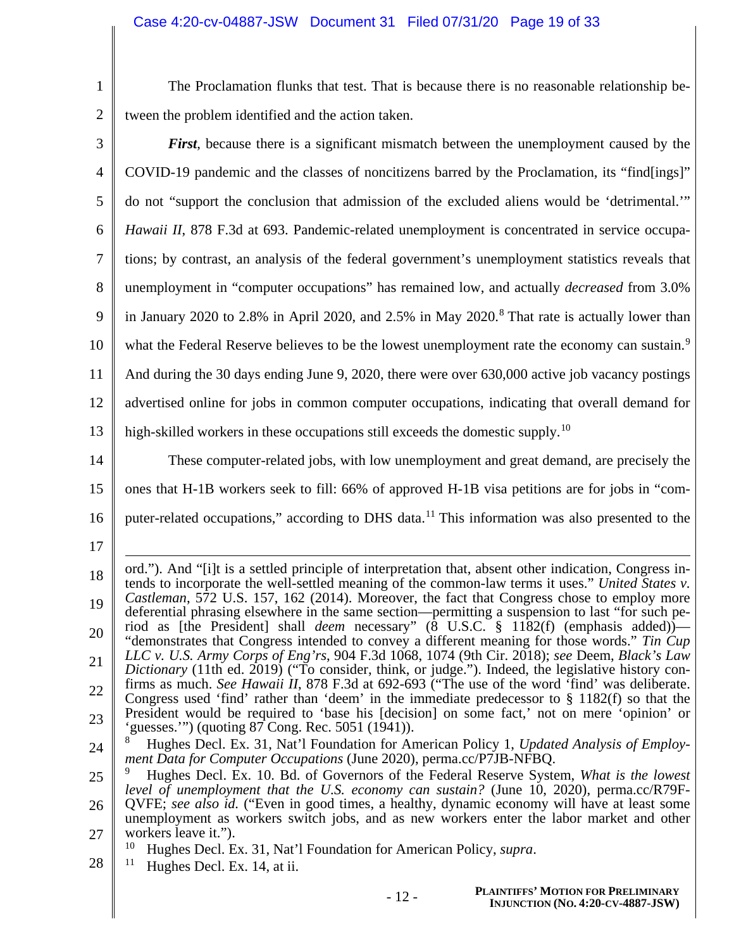| The Proclamation flunks that test. That is because there is no reasonable relationship be- |
|--------------------------------------------------------------------------------------------|
| 2 tween the problem identified and the action taken.                                       |

| 3              | <b>First</b> , because there is a significant mismatch between the unemployment caused by the                                                                                                              |
|----------------|------------------------------------------------------------------------------------------------------------------------------------------------------------------------------------------------------------|
| $\overline{4}$ | COVID-19 pandemic and the classes of noncitizens barred by the Proclamation, its "find[ings]"                                                                                                              |
| 5              | do not "support the conclusion that admission of the excluded aliens would be 'detrimental."                                                                                                               |
| 6              | Hawaii II, 878 F.3d at 693. Pandemic-related unemployment is concentrated in service occupa-                                                                                                               |
| 7              | tions; by contrast, an analysis of the federal government's unemployment statistics reveals that                                                                                                           |
| 8              | unemployment in "computer occupations" has remained low, and actually <i>decreased</i> from 3.0%                                                                                                           |
| 9              | in January 2020 to 2.8% in April 2020, and 2.5% in May 2020. <sup>8</sup> That rate is actually lower than                                                                                                 |
| 10             | what the Federal Reserve believes to be the lowest unemployment rate the economy can sustain. <sup>9</sup>                                                                                                 |
| 11             | And during the 30 days ending June 9, 2020, there were over 630,000 active job vacancy postings                                                                                                            |
| 12             | advertised online for jobs in common computer occupations, indicating that overall demand for                                                                                                              |
| 13             | high-skilled workers in these occupations still exceeds the domestic supply. <sup>10</sup>                                                                                                                 |
| 14             | These computer-related jobs, with low unemployment and great demand, are precisely the                                                                                                                     |
| 15             | ones that H-1B workers seek to fill: 66% of approved H-1B visa petitions are for jobs in "com-                                                                                                             |
| 16             | puter-related occupations," according to DHS data. <sup>11</sup> This information was also presented to the                                                                                                |
| 17             |                                                                                                                                                                                                            |
| 18             | ord."). And "[i]t is a settled principle of interpretation that, absent other indication, Congress in-<br>tends to incorporate the well-settled meaning of the common-law terms it uses." United States v. |
| 19             | Castleman, 572 U.S. 157, 162 (2014). Moreover, the fact that Congress chose to employ more<br>deferential phrasing elsewhere in the same section—permitting a suspension to last "for such pe-             |
| 20             | riod as [the President] shall <i>deem</i> necessary" $(8 \text{ U.S.C. } § 1182(f)$ (emphasis added))—<br>"demonstrates that Congress intended to convey a different meaning for those words." Tin Cup     |
| 21             | LLC v. U.S. Army Corps of Eng'rs, 904 F.3d 1068, 1074 (9th Cir. 2018); see Deem, Black's Law<br>Dictionary (11th ed. 2019) ("To consider, think, or judge."). Indeed, the legislative history con-         |
| 22             | firms as much. See Hawaii II, 878 F.3d at 692-693 ("The use of the word 'find' was deliberate.<br>Congress used 'find' rather than 'deem' in the immediate predecessor to $\S$ 1182(f) so that the         |
| 23             | President would be required to 'base his [decision] on some fact,' not on mere 'opinion' or<br>"guesses."") (quoting 87 Cong. Rec. 5051 (1941)).                                                           |
| 24             | Hughes Decl. Ex. 31, Nat'l Foundation for American Policy 1, Updated Analysis of Employ-<br>ment Data for Computer Occupations (June 2020), perma.cc/P7JB-NFBQ.                                            |
| 25             | 9<br>Hughes Decl. Ex. 10. Bd. of Governors of the Federal Reserve System, What is the lowest<br>level of unemployment that the U.S. economy can sustain? (June 10, 2020), perma.cc/R79F-                   |
| 26             | QVFE; see also id. ("Even in good times, a healthy, dynamic economy will have at least some<br>unemployment as workers switch jobs, and as new workers enter the labor market and other                    |
| 27             | workers leave it.").<br>10<br>Hughes Decl. Ex. 31, Nat'l Foundation for American Policy, <i>supra</i> .                                                                                                    |
| 28             | 11<br>Hughes Decl. Ex. 14, at ii.                                                                                                                                                                          |
|                | PI AINTIFFS' MOTION FOR PREI IMINARY                                                                                                                                                                       |

Π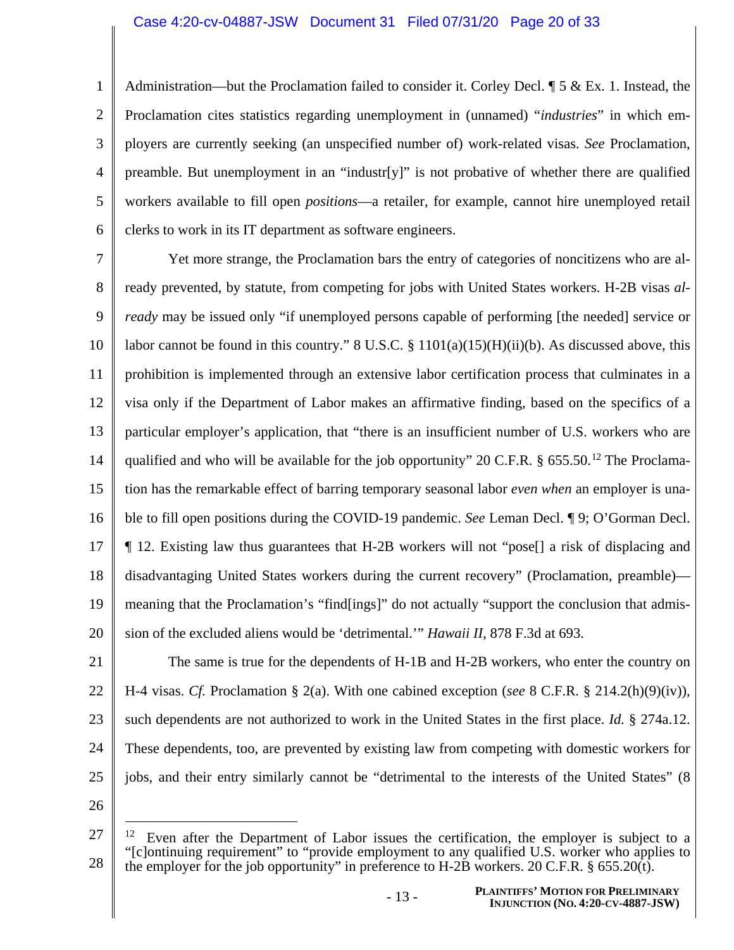#### Case 4:20-cv-04887-JSW Document 31 Filed 07/31/20 Page 20 of 33

1 2 3 4 5 6 Administration—but the Proclamation failed to consider it. Corley Decl.  $\mathbb{I}$  5 & Ex. 1. Instead, the Proclamation cites statistics regarding unemployment in (unnamed) "*industries*" in which employers are currently seeking (an unspecified number of) work-related visas. *See* Proclamation, preamble. But unemployment in an "industr[y]" is not probative of whether there are qualified workers available to fill open *positions*—a retailer, for example, cannot hire unemployed retail clerks to work in its IT department as software engineers.

7 8 9 10 11 12 13 14 15 16 17 18 19 20 Yet more strange, the Proclamation bars the entry of categories of noncitizens who are already prevented, by statute, from competing for jobs with United States workers. H-2B visas *already* may be issued only "if unemployed persons capable of performing [the needed] service or labor cannot be found in this country." 8 U.S.C.  $\S$  1101(a)(15)(H)(ii)(b). As discussed above, this prohibition is implemented through an extensive labor certification process that culminates in a visa only if the Department of Labor makes an affirmative finding, based on the specifics of a particular employer's application, that "there is an insufficient number of U.S. workers who are qualified and who will be available for the job opportunity" 20 C.F.R. § 655.50.<sup>12</sup> The Proclamation has the remarkable effect of barring temporary seasonal labor *even when* an employer is unable to fill open positions during the COVID-19 pandemic. *See* Leman Decl. ¶ 9; O'Gorman Decl. ¶ 12. Existing law thus guarantees that H-2B workers will not "pose[] a risk of displacing and disadvantaging United States workers during the current recovery" (Proclamation, preamble) meaning that the Proclamation's "find[ings]" do not actually "support the conclusion that admission of the excluded aliens would be 'detrimental.'" *Hawaii II*, 878 F.3d at 693.

21 22

23 24 25 The same is true for the dependents of H-1B and H-2B workers, who enter the country on H-4 visas. *Cf.* Proclamation § 2(a). With one cabined exception (*see* 8 C.F.R. § 214.2(h)(9)(iv)), such dependents are not authorized to work in the United States in the first place. *Id.* § 274a.12. These dependents, too, are prevented by existing law from competing with domestic workers for jobs, and their entry similarly cannot be "detrimental to the interests of the United States" (8

<sup>27</sup> 28 <sup>12</sup> Even after the Department of Labor issues the certification, the employer is subject to a "[c]ontinuing requirement" to "provide employment to any qualified U.S. worker who applies to the employer for the job opportunity" in preference to H-2B workers. 20 C.F.R.  $\S$  655.20(t).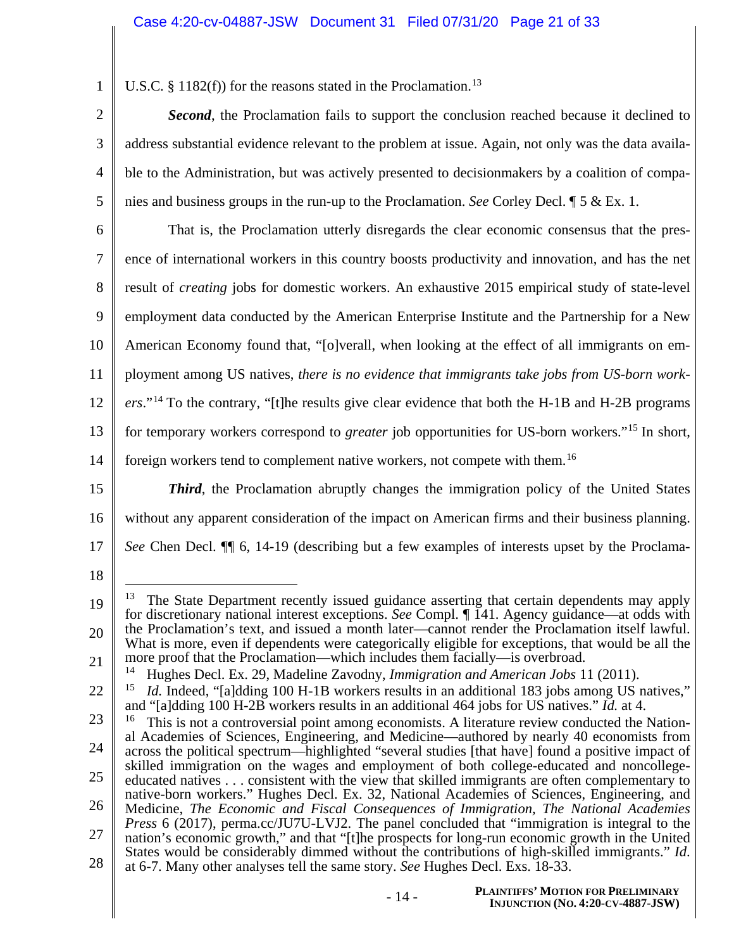1 U.S.C.  $\S$  1182(f)) for the reasons stated in the Proclamation.<sup>13</sup>

*Second*, the Proclamation fails to support the conclusion reached because it declined to address substantial evidence relevant to the problem at issue. Again, not only was the data available to the Administration, but was actively presented to decisionmakers by a coalition of companies and business groups in the run-up to the Proclamation. *See* Corley Decl. ¶ 5 & Ex. 1.

6 7 8 9 10 11 12 13 14 That is, the Proclamation utterly disregards the clear economic consensus that the presence of international workers in this country boosts productivity and innovation, and has the net result of *creating* jobs for domestic workers. An exhaustive 2015 empirical study of state-level employment data conducted by the American Enterprise Institute and the Partnership for a New American Economy found that, "[o]verall, when looking at the effect of all immigrants on employment among US natives, *there is no evidence that immigrants take jobs from US-born workers*."<sup>14</sup> To the contrary, "[t]he results give clear evidence that both the H-1B and H-2B programs for temporary workers correspond to *greater* job opportunities for US-born workers."<sup>15</sup> In short, foreign workers tend to complement native workers, not compete with them.<sup>16</sup>

15

2

3

4

5

16 17 *Third*, the Proclamation abruptly changes the immigration policy of the United States without any apparent consideration of the impact on American firms and their business planning. *See* Chen Decl. ¶¶ 6, 14-19 (describing but a few examples of interests upset by the Proclama-

<sup>19</sup> 20 21  $13$  The State Department recently issued guidance asserting that certain dependents may apply for discretionary national interest exceptions. *See* Compl. ¶ 141. Agency guidance—at odds with the Proclamation's text, and issued a month later—cannot render the Proclamation itself lawful. What is more, even if dependents were categorically eligible for exceptions, that would be all the more proof that the Proclamation—which includes them facially—is overbroad.

<sup>14</sup> Hughes Decl. Ex. 29, Madeline Zavodny, *Immigration and American Jobs* 11 (2011).

<sup>22</sup> <sup>15</sup> *Id.* Indeed, "[a]dding 100 H-1B workers results in an additional 183 jobs among US natives," and "[a]dding 100 H-2B workers results in an additional 464 jobs for US natives." *Id.* at 4.

<sup>23</sup> 24 25 26 27 28  $16$  This is not a controversial point among economists. A literature review conducted the National Academies of Sciences, Engineering, and Medicine—authored by nearly 40 economists from across the political spectrum—highlighted "several studies [that have] found a positive impact of skilled immigration on the wages and employment of both college-educated and noncollegeeducated natives . . . consistent with the view that skilled immigrants are often complementary to native-born workers." Hughes Decl. Ex. 32, National Academies of Sciences, Engineering, and Medicine, *The Economic and Fiscal Consequences of Immigration, The National Academies Press* 6 (2017), perma.cc/JU7U-LVJ2. The panel concluded that "immigration is integral to the nation's economic growth," and that "[t]he prospects for long-run economic growth in the United States would be considerably dimmed without the contributions of high-skilled immigrants." *Id*. at 6-7. Many other analyses tell the same story. *See* Hughes Decl. Exs. 18-33.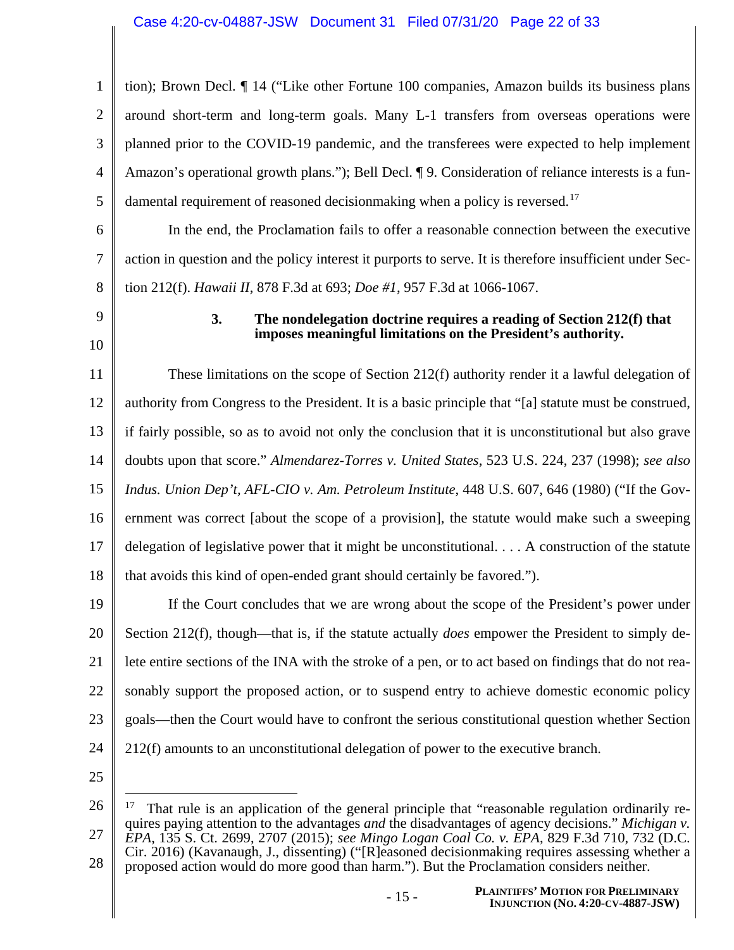1 2 3 4 5 tion); Brown Decl. ¶ 14 ("Like other Fortune 100 companies, Amazon builds its business plans around short-term and long-term goals. Many L-1 transfers from overseas operations were planned prior to the COVID-19 pandemic, and the transferees were expected to help implement Amazon's operational growth plans."); Bell Decl. ¶ 9. Consideration of reliance interests is a fundamental requirement of reasoned decisionmaking when a policy is reversed.<sup>17</sup>

6 7 8 In the end, the Proclamation fails to offer a reasonable connection between the executive action in question and the policy interest it purports to serve. It is therefore insufficient under Section 212(f). *Hawaii II*, 878 F.3d at 693; *Doe #1*, 957 F.3d at 1066-1067.

9 10

### **3. The nondelegation doctrine requires a reading of Section 212(f) that imposes meaningful limitations on the President's authority.**

11 12 13 14 15 16 17 18 These limitations on the scope of Section 212(f) authority render it a lawful delegation of authority from Congress to the President. It is a basic principle that "[a] statute must be construed, if fairly possible, so as to avoid not only the conclusion that it is unconstitutional but also grave doubts upon that score." *Almendarez-Torres v. United States*, 523 U.S. 224, 237 (1998); *see also Indus. Union Dep't, AFL-CIO v. Am. Petroleum Institute*, 448 U.S. 607, 646 (1980) ("If the Government was correct [about the scope of a provision], the statute would make such a sweeping delegation of legislative power that it might be unconstitutional. . . . A construction of the statute that avoids this kind of open-ended grant should certainly be favored.").

19 20 21 22 23 24 If the Court concludes that we are wrong about the scope of the President's power under Section 212(f), though—that is, if the statute actually *does* empower the President to simply delete entire sections of the INA with the stroke of a pen, or to act based on findings that do not reasonably support the proposed action, or to suspend entry to achieve domestic economic policy goals—then the Court would have to confront the serious constitutional question whether Section 212(f) amounts to an unconstitutional delegation of power to the executive branch.

<sup>26</sup> 27 28  $17$  That rule is an application of the general principle that "reasonable regulation ordinarily requires paying attention to the advantages *and* the disadvantages of agency decisions." *Michigan v. EPA*, 135 S. Ct. 2699, 2707 (2015); *see Mingo Logan Coal Co. v. EPA*, 829 F.3d 710, 732 (D.C. Cir. 2016) (Kavanaugh, J., dissenting) ("[R]easoned decisionmaking requires assessing whether a proposed action would do more good than harm."). But the Proclamation considers neither.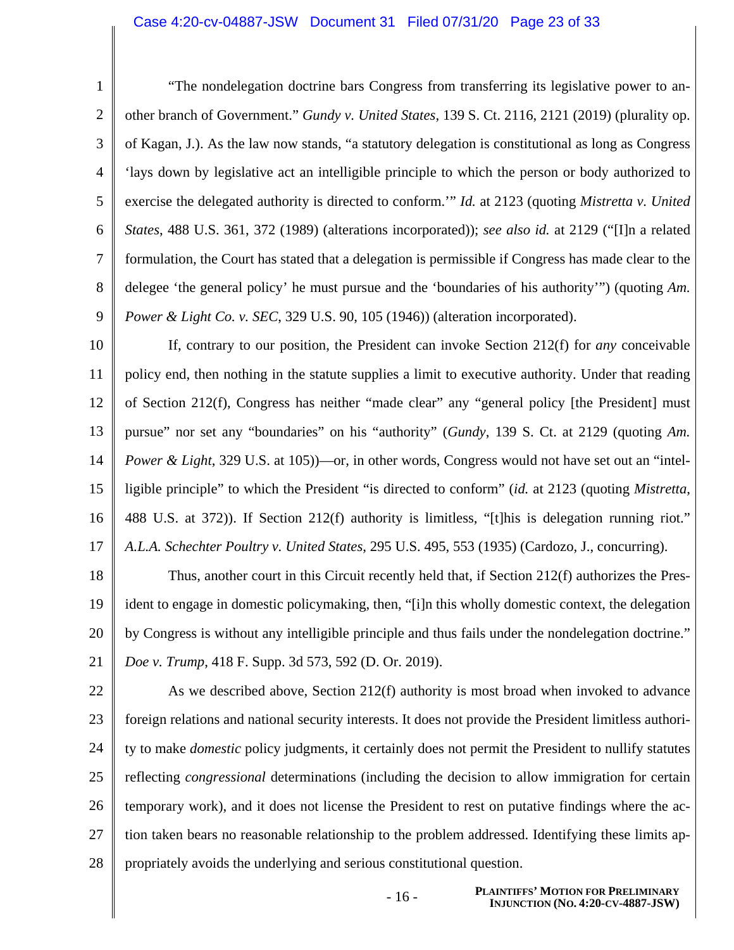#### Case 4:20-cv-04887-JSW Document 31 Filed 07/31/20 Page 23 of 33

1 2 3 4 5 6 7 8 9 "The nondelegation doctrine bars Congress from transferring its legislative power to another branch of Government." *Gundy v. United States*, 139 S. Ct. 2116, 2121 (2019) (plurality op. of Kagan, J.). As the law now stands, "a statutory delegation is constitutional as long as Congress 'lays down by legislative act an intelligible principle to which the person or body authorized to exercise the delegated authority is directed to conform.'" *Id.* at 2123 (quoting *Mistretta v. United States*, 488 U.S. 361, 372 (1989) (alterations incorporated)); *see also id.* at 2129 ("[I]n a related formulation, the Court has stated that a delegation is permissible if Congress has made clear to the delegee 'the general policy' he must pursue and the 'boundaries of his authority'") (quoting *Am. Power & Light Co. v. SEC*, 329 U.S. 90, 105 (1946)) (alteration incorporated).

10 11 12 13 14 15 16 17 If, contrary to our position, the President can invoke Section 212(f) for *any* conceivable policy end, then nothing in the statute supplies a limit to executive authority. Under that reading of Section 212(f), Congress has neither "made clear" any "general policy [the President] must pursue" nor set any "boundaries" on his "authority" (*Gundy*, 139 S. Ct. at 2129 (quoting *Am. Power & Light*, 329 U.S. at 105))—or, in other words, Congress would not have set out an "intelligible principle" to which the President "is directed to conform" (*id.* at 2123 (quoting *Mistretta*, 488 U.S. at 372)). If Section 212(f) authority is limitless, "[t]his is delegation running riot." *A.L.A. Schechter Poultry v. United States*, 295 U.S. 495, 553 (1935) (Cardozo, J., concurring).

18 19 20 21 Thus, another court in this Circuit recently held that, if Section 212(f) authorizes the President to engage in domestic policymaking, then, "[i]n this wholly domestic context, the delegation by Congress is without any intelligible principle and thus fails under the nondelegation doctrine." *Doe v. Trump*, 418 F. Supp. 3d 573, 592 (D. Or. 2019).

22 23 24 25 26 27 28 As we described above, Section 212(f) authority is most broad when invoked to advance foreign relations and national security interests. It does not provide the President limitless authority to make *domestic* policy judgments, it certainly does not permit the President to nullify statutes reflecting *congressional* determinations (including the decision to allow immigration for certain temporary work), and it does not license the President to rest on putative findings where the action taken bears no reasonable relationship to the problem addressed. Identifying these limits appropriately avoids the underlying and serious constitutional question.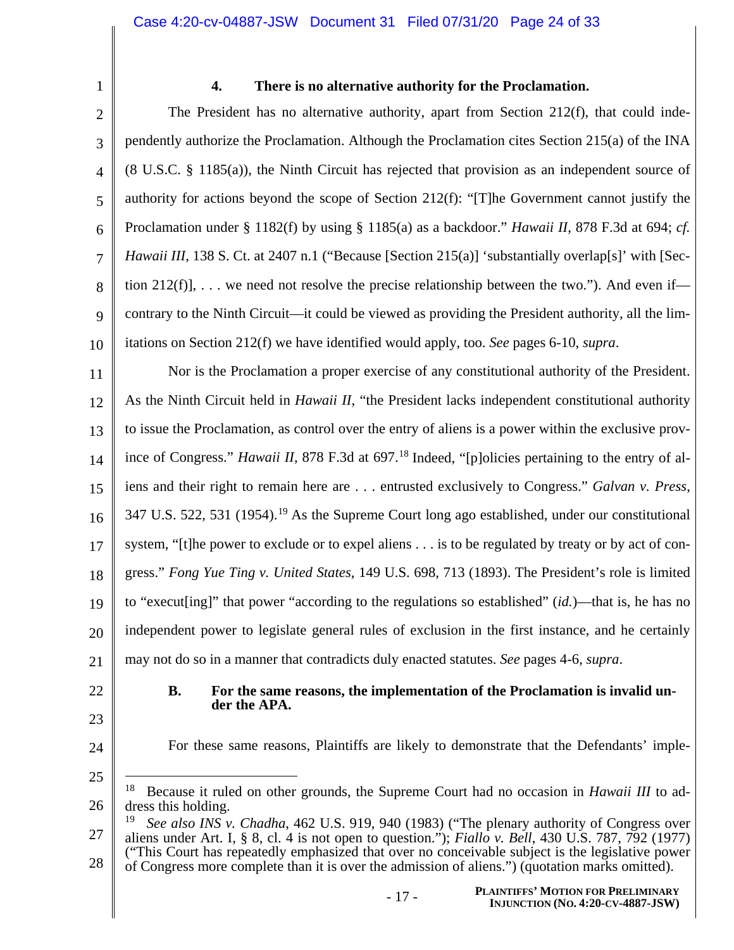1

### **4. There is no alternative authority for the Proclamation.**

2 3 4 5 6 7 8 9 10 The President has no alternative authority, apart from Section  $212(f)$ , that could independently authorize the Proclamation. Although the Proclamation cites Section 215(a) of the INA (8 U.S.C. § 1185(a)), the Ninth Circuit has rejected that provision as an independent source of authority for actions beyond the scope of Section 212(f): "[T]he Government cannot justify the Proclamation under § 1182(f) by using § 1185(a) as a backdoor." *Hawaii II*, 878 F.3d at 694; *cf. Hawaii III*, 138 S. Ct. at 2407 n.1 ("Because [Section 215(a)] 'substantially overlap<sup>[s]</sup>' with [Section 212(f)],  $\dots$  we need not resolve the precise relationship between the two."). And even if contrary to the Ninth Circuit—it could be viewed as providing the President authority, all the limitations on Section 212(f) we have identified would apply, too. *See* pages 6-10, *supra*.

11 12 13 14 15 16 17 18 19 20 21 Nor is the Proclamation a proper exercise of any constitutional authority of the President. As the Ninth Circuit held in *Hawaii II*, "the President lacks independent constitutional authority to issue the Proclamation, as control over the entry of aliens is a power within the exclusive province of Congress." *Hawaii II*, 878 F.3d at 697.<sup>18</sup> Indeed, "[p]olicies pertaining to the entry of aliens and their right to remain here are . . . entrusted exclusively to Congress." *Galvan v. Press*, 347 U.S. 522, 531 (1954).<sup>19</sup> As the Supreme Court long ago established, under our constitutional system, "[t]he power to exclude or to expel aliens . . . is to be regulated by treaty or by act of congress." *Fong Yue Ting v. United States*, 149 U.S. 698, 713 (1893). The President's role is limited to "execut[ing]" that power "according to the regulations so established" (*id.*)—that is, he has no independent power to legislate general rules of exclusion in the first instance, and he certainly may not do so in a manner that contradicts duly enacted statutes. *See* pages 4-6, *supra*.

- 22
- 23
- **B. For the same reasons, the implementation of the Proclamation is invalid under the APA.**
- 24

25

For these same reasons, Plaintiffs are likely to demonstrate that the Defendants' imple-

- 26 18 Because it ruled on other grounds, the Supreme Court had no occasion in *Hawaii III* to address this holding.
- 27 See also INS v. Chadha, 462 U.S. 919, 940 (1983) ("The plenary authority of Congress over aliens under Art. I, § 8, cl. 4 is not open to question."); *Fiallo v. Bell*, 430 U.S. 787, 792 (1977) ("This Court has repeatedly emphasized that over no conceivable subject is the legislative power

<sup>28</sup> of Congress more complete than it is over the admission of aliens.") (quotation marks omitted).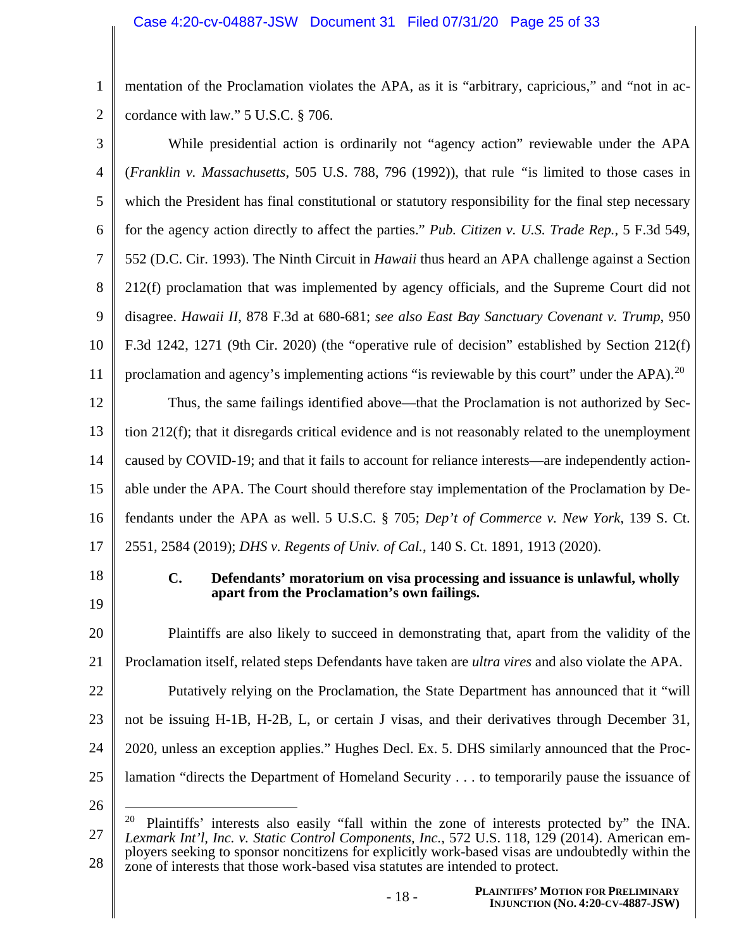1 2 mentation of the Proclamation violates the APA, as it is "arbitrary, capricious," and "not in accordance with law." 5 U.S.C. § 706.

| 3              | While presidential action is ordinarily not "agency action" reviewable under the APA                                                                                                          |  |  |  |
|----------------|-----------------------------------------------------------------------------------------------------------------------------------------------------------------------------------------------|--|--|--|
| $\overline{4}$ | (Franklin v. Massachusetts, 505 U.S. 788, 796 (1992)), that rule "is limited to those cases in                                                                                                |  |  |  |
| 5              | which the President has final constitutional or statutory responsibility for the final step necessary                                                                                         |  |  |  |
| 6              | for the agency action directly to affect the parties." Pub. Citizen v. U.S. Trade Rep., 5 F.3d 549,                                                                                           |  |  |  |
| 7              | 552 (D.C. Cir. 1993). The Ninth Circuit in <i>Hawaii</i> thus heard an APA challenge against a Section                                                                                        |  |  |  |
| 8              | 212(f) proclamation that was implemented by agency officials, and the Supreme Court did not                                                                                                   |  |  |  |
| 9              | disagree. Hawaii II, 878 F.3d at 680-681; see also East Bay Sanctuary Covenant v. Trump, 950                                                                                                  |  |  |  |
| 10             | F.3d 1242, 1271 (9th Cir. 2020) (the "operative rule of decision" established by Section 212(f)                                                                                               |  |  |  |
| 11             | proclamation and agency's implementing actions "is reviewable by this court" under the APA). <sup>20</sup>                                                                                    |  |  |  |
| 12             | Thus, the same failings identified above—that the Proclamation is not authorized by Sec-                                                                                                      |  |  |  |
| 13             | tion 212(f); that it disregards critical evidence and is not reasonably related to the unemployment                                                                                           |  |  |  |
| 14             | caused by COVID-19; and that it fails to account for reliance interests—are independently action-                                                                                             |  |  |  |
| 15             | able under the APA. The Court should therefore stay implementation of the Proclamation by De-                                                                                                 |  |  |  |
| 16             | fendants under the APA as well. 5 U.S.C. § 705; Dep't of Commerce v. New York, 139 S. Ct.                                                                                                     |  |  |  |
| 17             | 2551, 2584 (2019); DHS v. Regents of Univ. of Cal., 140 S. Ct. 1891, 1913 (2020).                                                                                                             |  |  |  |
| 18             | $\mathbf{C}$ .<br>Defendants' moratorium on visa processing and issuance is unlawful, wholly<br>apart from the Proclamation's own failings.                                                   |  |  |  |
| 19             |                                                                                                                                                                                               |  |  |  |
| 20             | Plaintiffs are also likely to succeed in demonstrating that, apart from the validity of the                                                                                                   |  |  |  |
| 21             | Proclamation itself, related steps Defendants have taken are <i>ultra vires</i> and also violate the APA.                                                                                     |  |  |  |
| 22             | Putatively relying on the Proclamation, the State Department has announced that it "will                                                                                                      |  |  |  |
| 23             | not be issuing H-1B, H-2B, L, or certain J visas, and their derivatives through December 31,                                                                                                  |  |  |  |
| 24             | 2020, unless an exception applies." Hughes Decl. Ex. 5. DHS similarly announced that the Proc-                                                                                                |  |  |  |
| 25             | lamation "directs the Department of Homeland Security to temporarily pause the issuance of                                                                                                    |  |  |  |
| 26             | 20                                                                                                                                                                                            |  |  |  |
| 27             | Plaintiffs' interests also easily "fall within the zone of interests protected by" the INA.<br>Lexmark Int'l, Inc. v. Static Control Components, Inc., 572 U.S. 118, 129 (2014). American em- |  |  |  |
| 28             | ployers seeking to sponsor noncitizens for explicitly work-based visas are undoubtedly within the                                                                                             |  |  |  |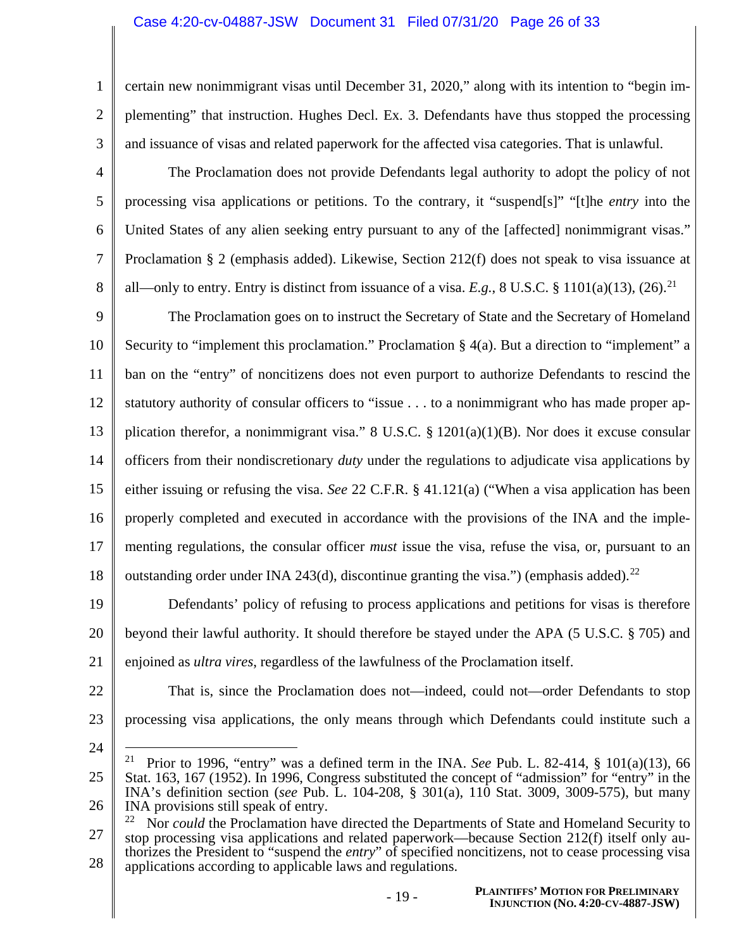#### Case 4:20-cv-04887-JSW Document 31 Filed 07/31/20 Page 26 of 33

certain new nonimmigrant visas until December 31, 2020," along with its intention to "begin implementing" that instruction. Hughes Decl. Ex. 3. Defendants have thus stopped the processing and issuance of visas and related paperwork for the affected visa categories. That is unlawful.

4 5 6 7 8 The Proclamation does not provide Defendants legal authority to adopt the policy of not processing visa applications or petitions. To the contrary, it "suspend[s]" "[t]he *entry* into the United States of any alien seeking entry pursuant to any of the [affected] nonimmigrant visas." Proclamation § 2 (emphasis added). Likewise, Section 212(f) does not speak to visa issuance at all—only to entry. Entry is distinct from issuance of a visa.  $E.g., 8 \text{ U.S.C. } 8 \text{ 1101(a)(13), (26).}^{21}$ 

9 10 11 12 13 14 15 16 17 18 The Proclamation goes on to instruct the Secretary of State and the Secretary of Homeland Security to "implement this proclamation." Proclamation  $\S 4(a)$ . But a direction to "implement" a ban on the "entry" of noncitizens does not even purport to authorize Defendants to rescind the statutory authority of consular officers to "issue . . . to a nonimmigrant who has made proper application therefor, a nonimmigrant visa." 8 U.S.C. § 1201(a)(1)(B). Nor does it excuse consular officers from their nondiscretionary *duty* under the regulations to adjudicate visa applications by either issuing or refusing the visa. *See* 22 C.F.R. § 41.121(a) ("When a visa application has been properly completed and executed in accordance with the provisions of the INA and the implementing regulations, the consular officer *must* issue the visa, refuse the visa, or, pursuant to an outstanding order under INA 243(d), discontinue granting the visa.") (emphasis added).<sup>22</sup>

19 20 21 Defendants' policy of refusing to process applications and petitions for visas is therefore beyond their lawful authority. It should therefore be stayed under the APA (5 U.S.C. § 705) and enjoined as *ultra vires*, regardless of the lawfulness of the Proclamation itself.

22

1

2

3

23

That is, since the Proclamation does not—indeed, could not—order Defendants to stop processing visa applications, the only means through which Defendants could institute such a

<sup>25</sup> 26 <sup>21</sup> Prior to 1996, "entry" was a defined term in the INA. *See* Pub. L. 82-414,  $\S$  101(a)(13), 66 Stat. 163, 167 (1952). In 1996, Congress substituted the concept of "admission" for "entry" in the INA's definition section (*see* Pub. L. 104-208, § 301(a), 110 Stat. 3009, 3009-575), but many INA provisions still speak of entry.

<sup>27</sup> 28 <sup>22</sup> Nor *could* the Proclamation have directed the Departments of State and Homeland Security to stop processing visa applications and related paperwork—because Section 212(f) itself only authorizes the President to "suspend the *entry*" of specified noncitizens, not to cease processing visa applications according to applicable laws and regulations.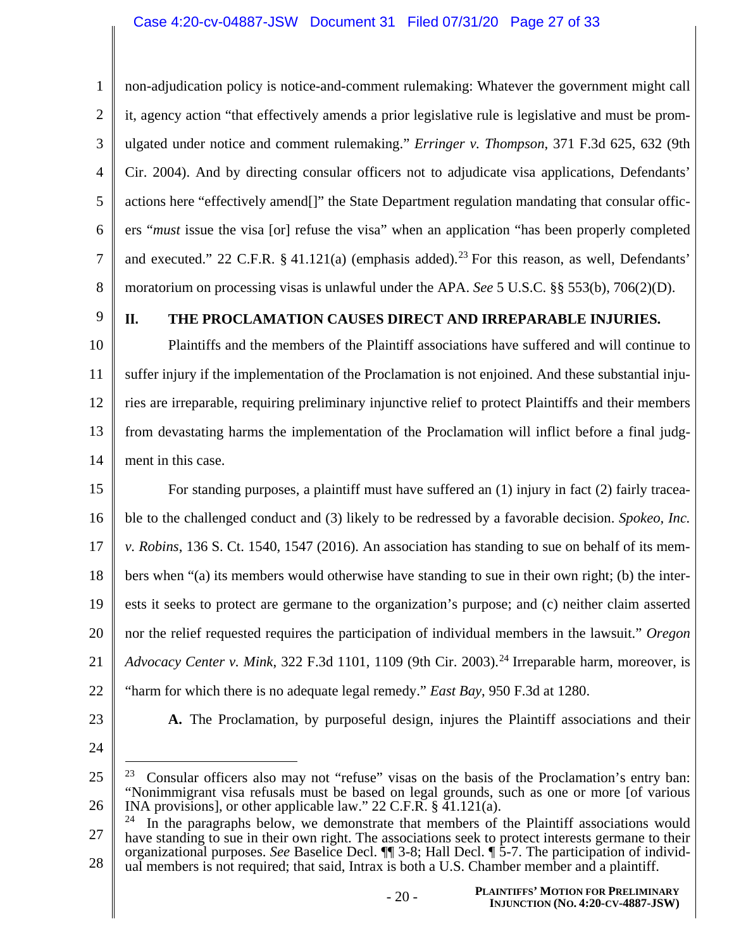1 2 3 4 5 6 7 8 non-adjudication policy is notice-and-comment rulemaking: Whatever the government might call it, agency action "that effectively amends a prior legislative rule is legislative and must be promulgated under notice and comment rulemaking." *Erringer v. Thompson*, 371 F.3d 625, 632 (9th Cir. 2004). And by directing consular officers not to adjudicate visa applications, Defendants' actions here "effectively amend[]" the State Department regulation mandating that consular officers "*must* issue the visa [or] refuse the visa" when an application "has been properly completed and executed." 22 C.F.R. § 41.121(a) (emphasis added).<sup>23</sup> For this reason, as well, Defendants' moratorium on processing visas is unlawful under the APA. *See* 5 U.S.C. §§ 553(b), 706(2)(D).

9

### **II. THE PROCLAMATION CAUSES DIRECT AND IRREPARABLE INJURIES.**

10 11 12 13 14 Plaintiffs and the members of the Plaintiff associations have suffered and will continue to suffer injury if the implementation of the Proclamation is not enjoined. And these substantial injuries are irreparable, requiring preliminary injunctive relief to protect Plaintiffs and their members from devastating harms the implementation of the Proclamation will inflict before a final judgment in this case.

15 16 17 18 19 20 21 For standing purposes, a plaintiff must have suffered an (1) injury in fact (2) fairly traceable to the challenged conduct and (3) likely to be redressed by a favorable decision. *Spokeo, Inc. v. Robins*, 136 S. Ct. 1540, 1547 (2016). An association has standing to sue on behalf of its members when "(a) its members would otherwise have standing to sue in their own right; (b) the interests it seeks to protect are germane to the organization's purpose; and (c) neither claim asserted nor the relief requested requires the participation of individual members in the lawsuit." *Oregon Advocacy Center v. Mink*, 322 F.3d 1101, 1109 (9th Cir. 2003).<sup>24</sup> Irreparable harm, moreover, is "harm for which there is no adequate legal remedy." *East Bay*, 950 F.3d at 1280.

- 22
- 23

**A.** The Proclamation, by purposeful design, injures the Plaintiff associations and their

24

27 28  $24$  In the paragraphs below, we demonstrate that members of the Plaintiff associations would have standing to sue in their own right. The associations seek to protect interests germane to their organizational purposes. *See* Baselice Decl. ¶¶ 3-8; Hall Decl. ¶ 5-7. The participation of individual members is not required; that said, Intrax is both a U.S. Chamber member and a plaintiff.

<sup>25</sup> 26 <sup>23</sup> Consular officers also may not "refuse" visas on the basis of the Proclamation's entry ban: "Nonimmigrant visa refusals must be based on legal grounds, such as one or more [of various INA provisions], or other applicable law." 22 C.F.R. § 41.121(a).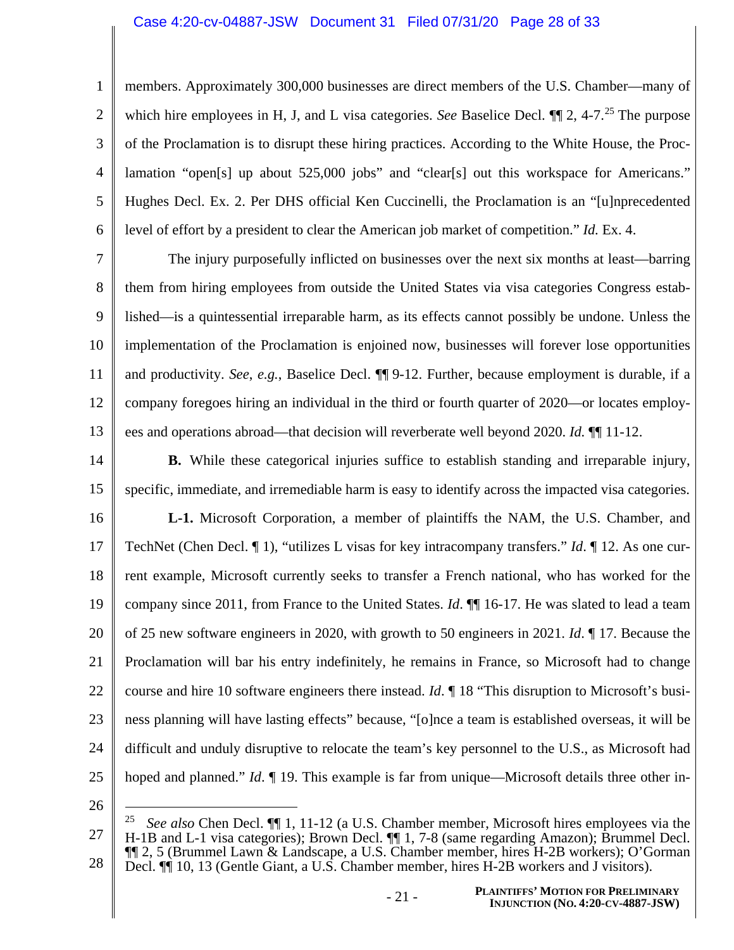#### Case 4:20-cv-04887-JSW Document 31 Filed 07/31/20 Page 28 of 33

1 2 3 4 5 6 members. Approximately 300,000 businesses are direct members of the U.S. Chamber—many of which hire employees in H, J, and L visa categories. *See* Baselice Decl.  $\P$  2, 4-7<sup>25</sup> The purpose of the Proclamation is to disrupt these hiring practices. According to the White House, the Proclamation "open[s] up about 525,000 jobs" and "clear[s] out this workspace for Americans." Hughes Decl. Ex. 2. Per DHS official Ken Cuccinelli, the Proclamation is an "[u]nprecedented level of effort by a president to clear the American job market of competition." *Id.* Ex. 4.

7 8 9 10 11 12 13 The injury purposefully inflicted on businesses over the next six months at least—barring them from hiring employees from outside the United States via visa categories Congress established—is a quintessential irreparable harm, as its effects cannot possibly be undone. Unless the implementation of the Proclamation is enjoined now, businesses will forever lose opportunities and productivity. *See*, *e.g.*, Baselice Decl. ¶¶ 9-12. Further, because employment is durable, if a company foregoes hiring an individual in the third or fourth quarter of 2020—or locates employees and operations abroad—that decision will reverberate well beyond 2020. *Id.* ¶¶ 11-12.

14 15 **B.** While these categorical injuries suffice to establish standing and irreparable injury, specific, immediate, and irremediable harm is easy to identify across the impacted visa categories.

16 17 18 19 20 21 22 23 24 25 **L-1.** Microsoft Corporation, a member of plaintiffs the NAM, the U.S. Chamber, and TechNet (Chen Decl. ¶ 1), "utilizes L visas for key intracompany transfers." *Id*. ¶ 12. As one current example, Microsoft currently seeks to transfer a French national, who has worked for the company since 2011, from France to the United States. *Id*. ¶¶ 16-17. He was slated to lead a team of 25 new software engineers in 2020, with growth to 50 engineers in 2021. *Id*. ¶ 17. Because the Proclamation will bar his entry indefinitely, he remains in France, so Microsoft had to change course and hire 10 software engineers there instead. *Id*. ¶ 18 "This disruption to Microsoft's business planning will have lasting effects" because, "[o]nce a team is established overseas, it will be difficult and unduly disruptive to relocate the team's key personnel to the U.S., as Microsoft had hoped and planned." *Id*. ¶ 19. This example is far from unique—Microsoft details three other in-

<sup>27</sup> 28 25 *See also* Chen Decl. ¶¶ 1, 11-12 (a U.S. Chamber member, Microsoft hires employees via the H-1B and L-1 visa categories); Brown Decl. ¶¶ 1, 7-8 (same regarding Amazon); Brummel Decl. ¶¶ 2, 5 (Brummel Lawn & Landscape, a U.S. Chamber member, hires H-2B workers); O'Gorman Decl. ¶¶ 10, 13 (Gentle Giant, a U.S. Chamber member, hires H-2B workers and J visitors).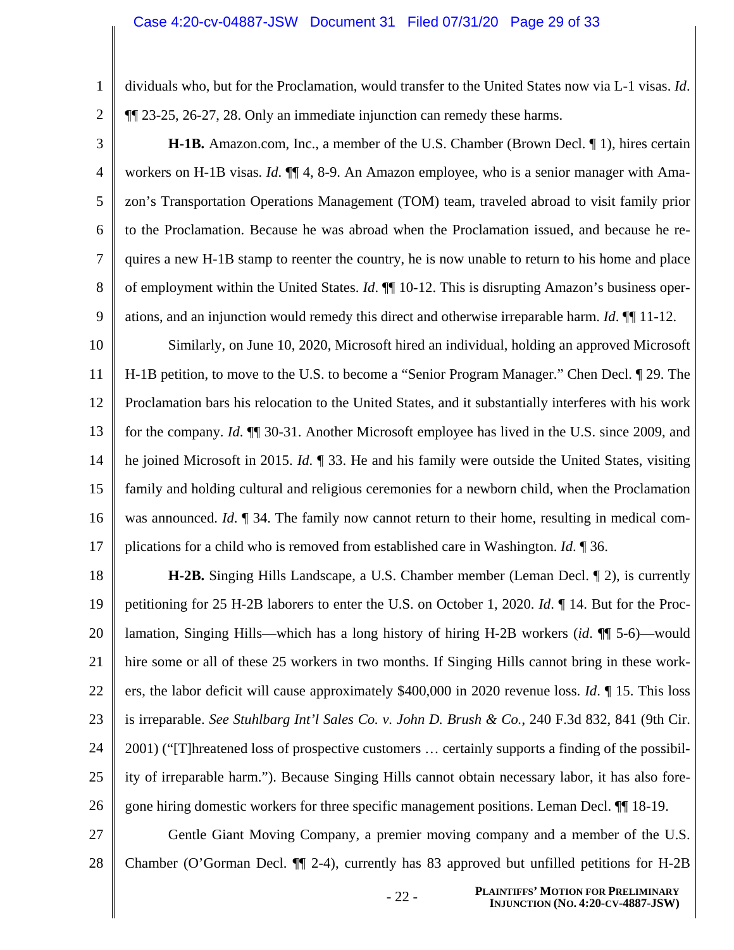dividuals who, but for the Proclamation, would transfer to the United States now via L-1 visas. *Id*. ¶¶ 23-25, 26-27, 28. Only an immediate injunction can remedy these harms.

27

28

3 4 5 6 7 8 9 **H-1B.** Amazon.com, Inc., a member of the U.S. Chamber (Brown Decl. ¶ 1), hires certain workers on H-1B visas. *Id*. ¶¶ 4, 8-9. An Amazon employee, who is a senior manager with Amazon's Transportation Operations Management (TOM) team, traveled abroad to visit family prior to the Proclamation. Because he was abroad when the Proclamation issued, and because he requires a new H-1B stamp to reenter the country, he is now unable to return to his home and place of employment within the United States. *Id*. ¶¶ 10-12. This is disrupting Amazon's business operations, and an injunction would remedy this direct and otherwise irreparable harm. *Id*. ¶¶ 11-12.

10 11 12 13 14 15 16 17 Similarly, on June 10, 2020, Microsoft hired an individual, holding an approved Microsoft H-1B petition, to move to the U.S. to become a "Senior Program Manager." Chen Decl. ¶ 29. The Proclamation bars his relocation to the United States, and it substantially interferes with his work for the company. *Id*. ¶¶ 30-31. Another Microsoft employee has lived in the U.S. since 2009, and he joined Microsoft in 2015. *Id*. ¶ 33. He and his family were outside the United States, visiting family and holding cultural and religious ceremonies for a newborn child, when the Proclamation was announced. *Id*. **[1** 34. The family now cannot return to their home, resulting in medical complications for a child who is removed from established care in Washington. *Id*. ¶ 36.

18 19 20 21 22 23 24 25 26 **H-2B.** Singing Hills Landscape, a U.S. Chamber member (Leman Decl. ¶ 2), is currently petitioning for 25 H-2B laborers to enter the U.S. on October 1, 2020. *Id*. ¶ 14. But for the Proclamation, Singing Hills—which has a long history of hiring H-2B workers (*id*. ¶¶ 5-6)—would hire some or all of these 25 workers in two months. If Singing Hills cannot bring in these workers, the labor deficit will cause approximately \$400,000 in 2020 revenue loss. *Id*. ¶ 15. This loss is irreparable. *See Stuhlbarg Int'l Sales Co. v. John D. Brush & Co.*, 240 F.3d 832, 841 (9th Cir. 2001) ("[T]hreatened loss of prospective customers … certainly supports a finding of the possibility of irreparable harm."). Because Singing Hills cannot obtain necessary labor, it has also foregone hiring domestic workers for three specific management positions. Leman Decl. ¶¶ 18-19.

Gentle Giant Moving Company, a premier moving company and a member of the U.S. Chamber (O'Gorman Decl. ¶¶ 2-4), currently has 83 approved but unfilled petitions for H-2B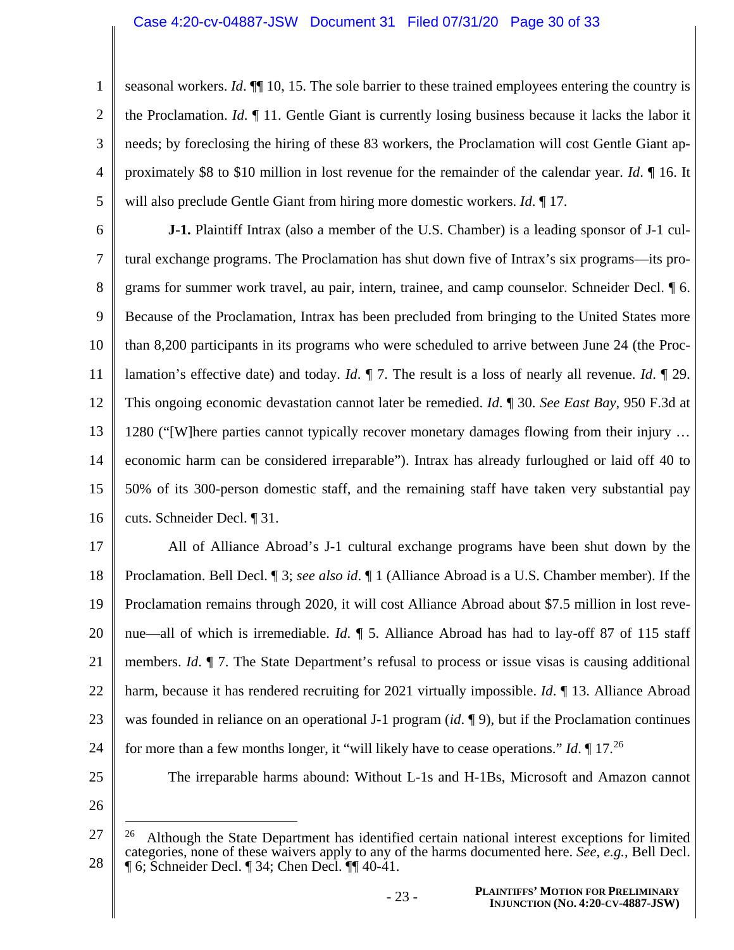1 2 3 4 5 seasonal workers. *Id*. ¶¶ 10, 15. The sole barrier to these trained employees entering the country is the Proclamation. *Id*. ¶ 11. Gentle Giant is currently losing business because it lacks the labor it needs; by foreclosing the hiring of these 83 workers, the Proclamation will cost Gentle Giant approximately \$8 to \$10 million in lost revenue for the remainder of the calendar year. *Id*. ¶ 16. It will also preclude Gentle Giant from hiring more domestic workers. *Id*. ¶ 17.

6 7 8 9 10 11 12 13 14 15 16 **J-1.** Plaintiff Intrax (also a member of the U.S. Chamber) is a leading sponsor of J-1 cultural exchange programs. The Proclamation has shut down five of Intrax's six programs—its programs for summer work travel, au pair, intern, trainee, and camp counselor. Schneider Decl. ¶ 6. Because of the Proclamation, Intrax has been precluded from bringing to the United States more than 8,200 participants in its programs who were scheduled to arrive between June 24 (the Proclamation's effective date) and today. *Id*. ¶ 7. The result is a loss of nearly all revenue. *Id*. ¶ 29. This ongoing economic devastation cannot later be remedied. *Id*. ¶ 30. *See East Bay*, 950 F.3d at 1280 ("[W]here parties cannot typically recover monetary damages flowing from their injury … economic harm can be considered irreparable"). Intrax has already furloughed or laid off 40 to 50% of its 300-person domestic staff, and the remaining staff have taken very substantial pay cuts. Schneider Decl. ¶ 31.

17 18 19 20 21 22 23 24 25 All of Alliance Abroad's J-1 cultural exchange programs have been shut down by the Proclamation. Bell Decl. ¶ 3; *see also id*. ¶ 1 (Alliance Abroad is a U.S. Chamber member). If the Proclamation remains through 2020, it will cost Alliance Abroad about \$7.5 million in lost revenue—all of which is irremediable. *Id*. ¶ 5. Alliance Abroad has had to lay-off 87 of 115 staff members. *Id*. ¶ 7. The State Department's refusal to process or issue visas is causing additional harm, because it has rendered recruiting for 2021 virtually impossible. *Id*. ¶ 13. Alliance Abroad was founded in reliance on an operational J-1 program (*id*. ¶ 9), but if the Proclamation continues for more than a few months longer, it "will likely have to cease operations." *Id*. ¶ 17.<sup>26</sup> The irreparable harms abound: Without L-1s and H-1Bs, Microsoft and Amazon cannot

<sup>27</sup> 28 26 Although the State Department has identified certain national interest exceptions for limited categories, none of these waivers apply to any of the harms documented here. *See*, *e.g.*, Bell Decl. ¶ 6; Schneider Decl. ¶ 34; Chen Decl. ¶¶ 40-41.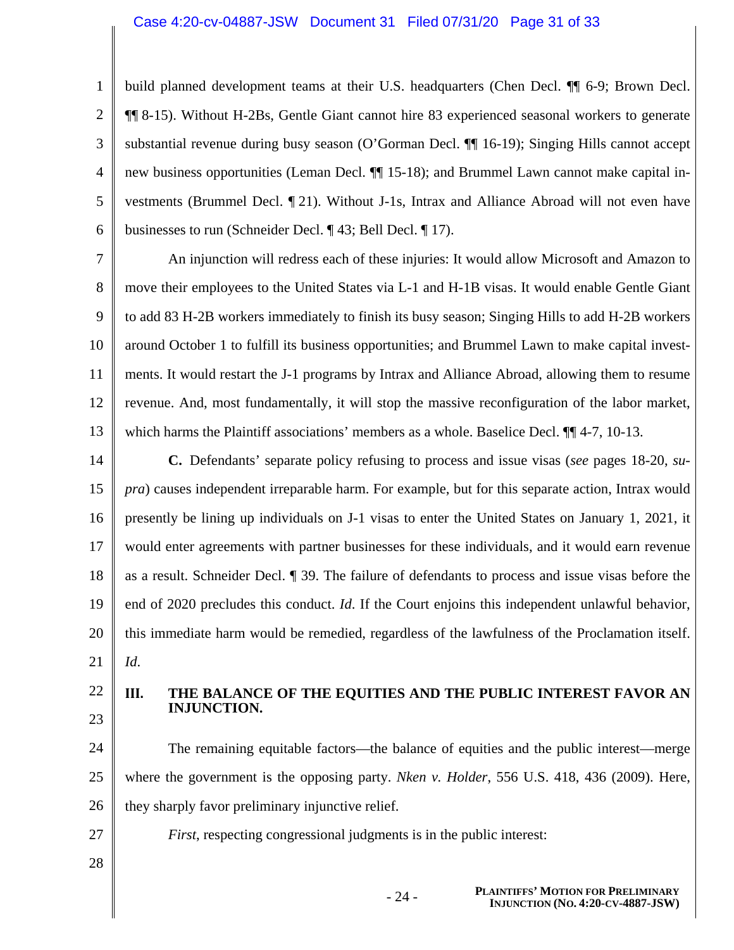#### Case 4:20-cv-04887-JSW Document 31 Filed 07/31/20 Page 31 of 33

2 3 4 5 6 build planned development teams at their U.S. headquarters (Chen Decl. ¶¶ 6-9; Brown Decl. ¶¶ 8-15). Without H-2Bs, Gentle Giant cannot hire 83 experienced seasonal workers to generate substantial revenue during busy season (O'Gorman Decl. ¶¶ 16-19); Singing Hills cannot accept new business opportunities (Leman Decl. ¶¶ 15-18); and Brummel Lawn cannot make capital investments (Brummel Decl. ¶ 21). Without J-1s, Intrax and Alliance Abroad will not even have businesses to run (Schneider Decl. ¶ 43; Bell Decl. ¶ 17).

7 8 9 10 11 12 13 An injunction will redress each of these injuries: It would allow Microsoft and Amazon to move their employees to the United States via L-1 and H-1B visas. It would enable Gentle Giant to add 83 H-2B workers immediately to finish its busy season; Singing Hills to add H-2B workers around October 1 to fulfill its business opportunities; and Brummel Lawn to make capital investments. It would restart the J-1 programs by Intrax and Alliance Abroad, allowing them to resume revenue. And, most fundamentally, it will stop the massive reconfiguration of the labor market, which harms the Plaintiff associations' members as a whole. Baselice Decl.  $\P$  4-7, 10-13.

14 15 16 17 18 19 20 21 **C.** Defendants' separate policy refusing to process and issue visas (*see* pages 18-20, *supra*) causes independent irreparable harm. For example, but for this separate action, Intrax would presently be lining up individuals on J-1 visas to enter the United States on January 1, 2021, it would enter agreements with partner businesses for these individuals, and it would earn revenue as a result. Schneider Decl. ¶ 39. The failure of defendants to process and issue visas before the end of 2020 precludes this conduct. *Id*. If the Court enjoins this independent unlawful behavior, this immediate harm would be remedied, regardless of the lawfulness of the Proclamation itself. *Id*.

22

1

23

#### **III. THE BALANCE OF THE EQUITIES AND THE PUBLIC INTEREST FAVOR AN INJUNCTION.**

24 25 26 The remaining equitable factors—the balance of equities and the public interest—merge where the government is the opposing party. *Nken v. Holder*, 556 U.S. 418, 436 (2009). Here, they sharply favor preliminary injunctive relief.

*First*, respecting congressional judgments is in the public interest:

27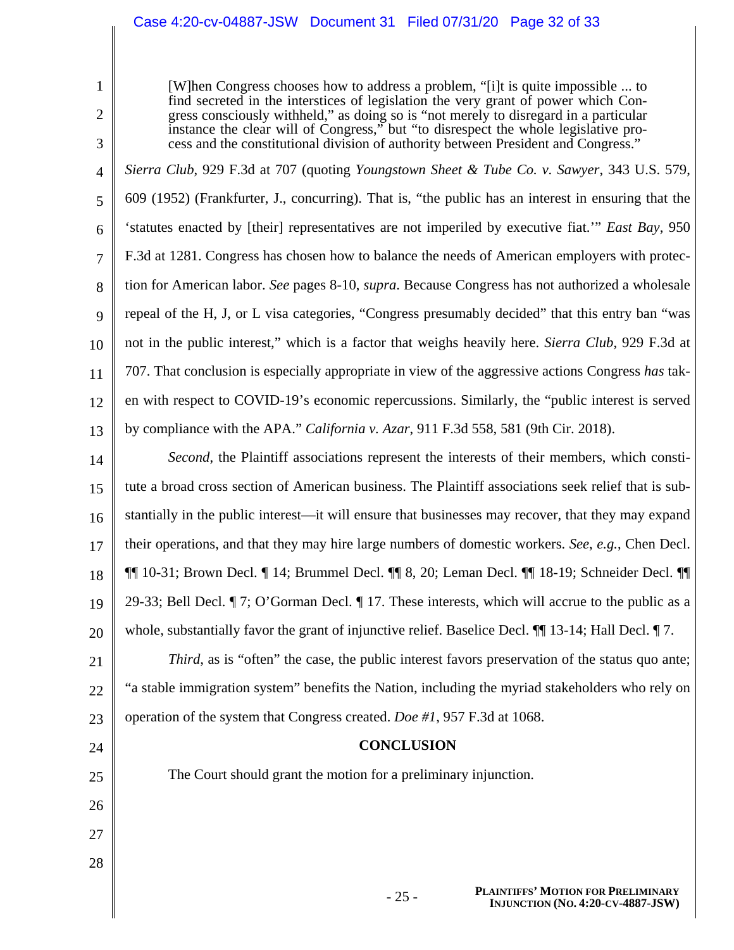### Case 4:20-cv-04887-JSW Document 31 Filed 07/31/20 Page 32 of 33

1

2

3

24

25

26

27

28

[W]hen Congress chooses how to address a problem, "[i]t is quite impossible ... to find secreted in the interstices of legislation the very grant of power which Congress consciously withheld," as doing so is "not merely to disregard in a particular instance the clear will of Congress," but "to disrespect the whole legislative process and the constitutional division of authority between President and Congress."

4 5 6 7 8 9 10 11 12 13 *Sierra Club*, 929 F.3d at 707 (quoting *Youngstown Sheet & Tube Co. v. Sawyer*, 343 U.S. 579, 609 (1952) (Frankfurter, J., concurring). That is, "the public has an interest in ensuring that the 'statutes enacted by [their] representatives are not imperiled by executive fiat.'" *East Bay*, 950 F.3d at 1281. Congress has chosen how to balance the needs of American employers with protection for American labor. *See* pages 8-10, *supra*. Because Congress has not authorized a wholesale repeal of the H, J, or L visa categories, "Congress presumably decided" that this entry ban "was not in the public interest," which is a factor that weighs heavily here. *Sierra Club*, 929 F.3d at 707. That conclusion is especially appropriate in view of the aggressive actions Congress *has* taken with respect to COVID-19's economic repercussions. Similarly, the "public interest is served by compliance with the APA." *California v. Azar*, 911 F.3d 558, 581 (9th Cir. 2018).

14 15 16 17 18 19 20 *Second*, the Plaintiff associations represent the interests of their members, which constitute a broad cross section of American business. The Plaintiff associations seek relief that is substantially in the public interest—it will ensure that businesses may recover, that they may expand their operations, and that they may hire large numbers of domestic workers. *See*, *e.g.*, Chen Decl. ¶¶ 10-31; Brown Decl. ¶ 14; Brummel Decl. ¶¶ 8, 20; Leman Decl. ¶¶ 18-19; Schneider Decl. ¶¶ 29-33; Bell Decl. ¶ 7; O'Gorman Decl. ¶ 17. These interests, which will accrue to the public as a whole, substantially favor the grant of injunctive relief. Baselice Decl.  $\P$  13-14; Hall Decl.  $\P$  7.

21 22 23 *Third*, as is "often" the case, the public interest favors preservation of the status quo ante; "a stable immigration system" benefits the Nation, including the myriad stakeholders who rely on operation of the system that Congress created. *Doe #1*, 957 F.3d at 1068.

### **CONCLUSION**

The Court should grant the motion for a preliminary injunction.